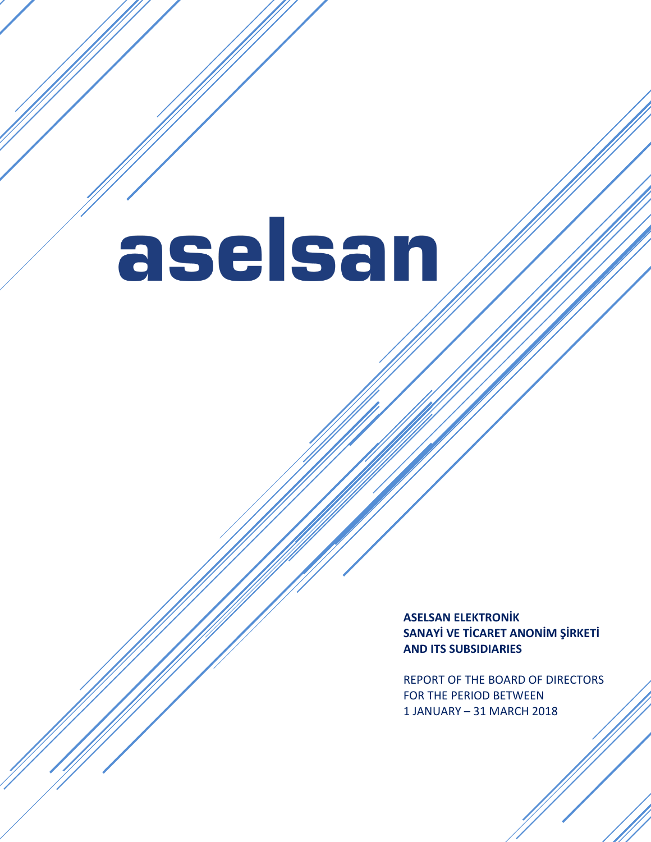# aselsan

**ASELSAN ELEKTRONİK SANAYİ VE TİCARET ANONİM ŞİRKETİ AND ITS SUBSIDIARIES**

REPORT OF THE BOARD OF DIRECTORS FOR THE PERIOD BETWEEN 1 JANUARY – 31 MARCH 2018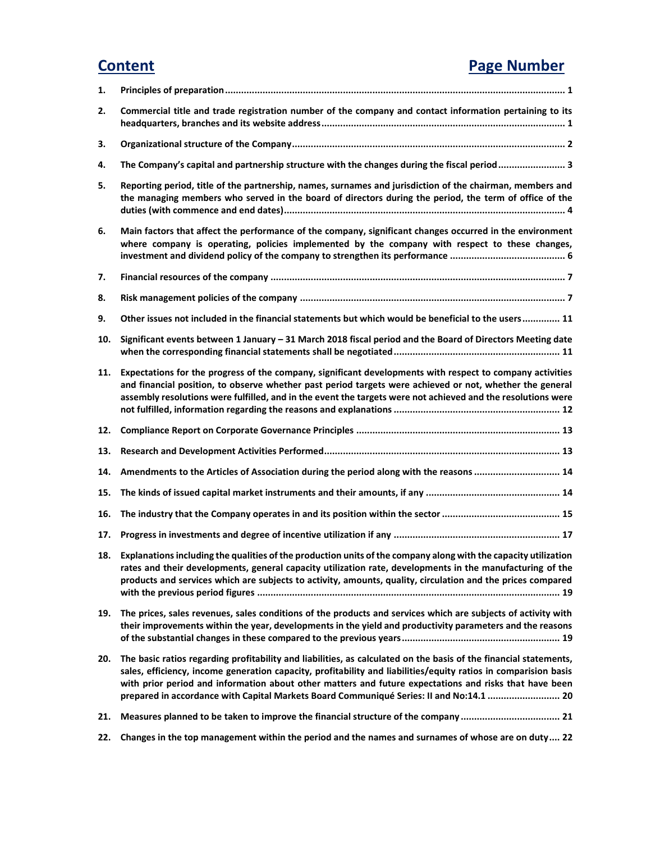## **Content Page Number**

| 1.  |                                                                                                                                                                                                                                                                                                                                                                                                                                           |
|-----|-------------------------------------------------------------------------------------------------------------------------------------------------------------------------------------------------------------------------------------------------------------------------------------------------------------------------------------------------------------------------------------------------------------------------------------------|
| 2.  | Commercial title and trade registration number of the company and contact information pertaining to its                                                                                                                                                                                                                                                                                                                                   |
| 3.  |                                                                                                                                                                                                                                                                                                                                                                                                                                           |
| 4.  | The Company's capital and partnership structure with the changes during the fiscal period3                                                                                                                                                                                                                                                                                                                                                |
| 5.  | Reporting period, title of the partnership, names, surnames and jurisdiction of the chairman, members and<br>the managing members who served in the board of directors during the period, the term of office of the                                                                                                                                                                                                                       |
| 6.  | Main factors that affect the performance of the company, significant changes occurred in the environment<br>where company is operating, policies implemented by the company with respect to these changes,                                                                                                                                                                                                                                |
| 7.  |                                                                                                                                                                                                                                                                                                                                                                                                                                           |
| 8.  |                                                                                                                                                                                                                                                                                                                                                                                                                                           |
| 9.  | Other issues not included in the financial statements but which would be beneficial to the users 11                                                                                                                                                                                                                                                                                                                                       |
| 10. | Significant events between 1 January - 31 March 2018 fiscal period and the Board of Directors Meeting date                                                                                                                                                                                                                                                                                                                                |
| 11. | Expectations for the progress of the company, significant developments with respect to company activities<br>and financial position, to observe whether past period targets were achieved or not, whether the general<br>assembly resolutions were fulfilled, and in the event the targets were not achieved and the resolutions were                                                                                                     |
| 12. |                                                                                                                                                                                                                                                                                                                                                                                                                                           |
| 13. |                                                                                                                                                                                                                                                                                                                                                                                                                                           |
| 14. | Amendments to the Articles of Association during the period along with the reasons  14                                                                                                                                                                                                                                                                                                                                                    |
| 15. |                                                                                                                                                                                                                                                                                                                                                                                                                                           |
| 16. |                                                                                                                                                                                                                                                                                                                                                                                                                                           |
| 17. |                                                                                                                                                                                                                                                                                                                                                                                                                                           |
| 18. | Explanations including the qualities of the production units of the company along with the capacity utilization<br>rates and their developments, general capacity utilization rate, developments in the manufacturing of the<br>products and services which are subjects to activity, amounts, quality, circulation and the prices compared                                                                                               |
| 19. | The prices, sales revenues, sales conditions of the products and services which are subjects of activity with<br>their improvements within the year, developments in the yield and productivity parameters and the reasons                                                                                                                                                                                                                |
| 20. | The basic ratios regarding profitability and liabilities, as calculated on the basis of the financial statements,<br>sales, efficiency, income generation capacity, profitability and liabilities/equity ratios in comparision basis<br>with prior period and information about other matters and future expectations and risks that have been<br>prepared in accordance with Capital Markets Board Communiqué Series: II and No:14.1  20 |
| 21. | Measures planned to be taken to improve the financial structure of the company  21                                                                                                                                                                                                                                                                                                                                                        |
| 22. | Changes in the top management within the period and the names and surnames of whose are on duty 22                                                                                                                                                                                                                                                                                                                                        |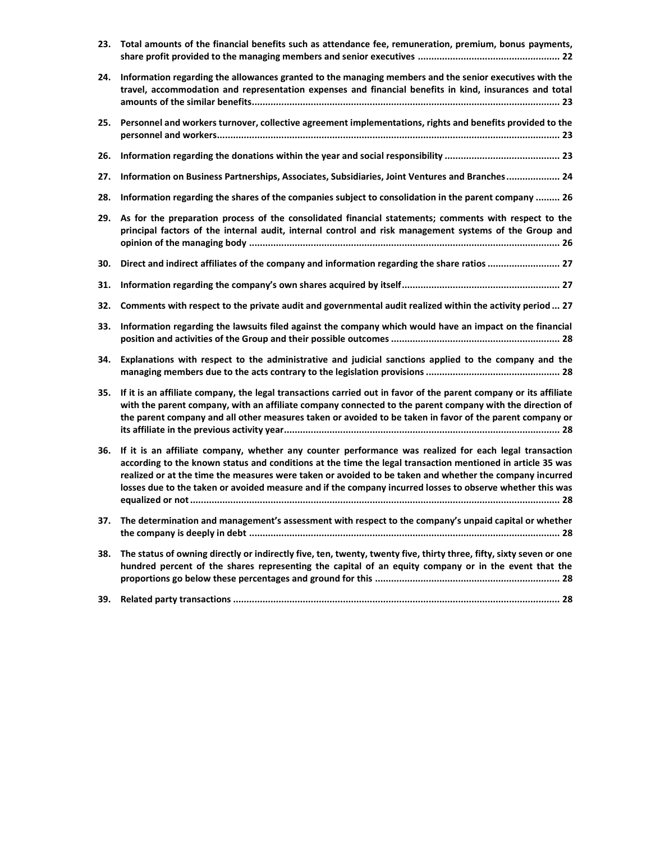| 23. | Total amounts of the financial benefits such as attendance fee, remuneration, premium, bonus payments,                                                                                                                                                                                                                                                                                                                                       |
|-----|----------------------------------------------------------------------------------------------------------------------------------------------------------------------------------------------------------------------------------------------------------------------------------------------------------------------------------------------------------------------------------------------------------------------------------------------|
| 24. | Information regarding the allowances granted to the managing members and the senior executives with the<br>travel, accommodation and representation expenses and financial benefits in kind, insurances and total                                                                                                                                                                                                                            |
| 25. | Personnel and workers turnover, collective agreement implementations, rights and benefits provided to the                                                                                                                                                                                                                                                                                                                                    |
| 26. |                                                                                                                                                                                                                                                                                                                                                                                                                                              |
| 27. | Information on Business Partnerships, Associates, Subsidiaries, Joint Ventures and Branches 24                                                                                                                                                                                                                                                                                                                                               |
| 28. | Information regarding the shares of the companies subject to consolidation in the parent company  26                                                                                                                                                                                                                                                                                                                                         |
| 29. | As for the preparation process of the consolidated financial statements; comments with respect to the<br>principal factors of the internal audit, internal control and risk management systems of the Group and                                                                                                                                                                                                                              |
| 30. | Direct and indirect affiliates of the company and information regarding the share ratios  27                                                                                                                                                                                                                                                                                                                                                 |
| 31. |                                                                                                                                                                                                                                                                                                                                                                                                                                              |
| 32. | Comments with respect to the private audit and governmental audit realized within the activity period  27                                                                                                                                                                                                                                                                                                                                    |
| 33. | Information regarding the lawsuits filed against the company which would have an impact on the financial                                                                                                                                                                                                                                                                                                                                     |
| 34. | Explanations with respect to the administrative and judicial sanctions applied to the company and the                                                                                                                                                                                                                                                                                                                                        |
| 35. | If it is an affiliate company, the legal transactions carried out in favor of the parent company or its affiliate<br>with the parent company, with an affiliate company connected to the parent company with the direction of<br>the parent company and all other measures taken or avoided to be taken in favor of the parent company or                                                                                                    |
| 36. | If it is an affiliate company, whether any counter performance was realized for each legal transaction<br>according to the known status and conditions at the time the legal transaction mentioned in article 35 was<br>realized or at the time the measures were taken or avoided to be taken and whether the company incurred<br>losses due to the taken or avoided measure and if the company incurred losses to observe whether this was |
| 37. | The determination and management's assessment with respect to the company's unpaid capital or whether                                                                                                                                                                                                                                                                                                                                        |
| 38. | The status of owning directly or indirectly five, ten, twenty, twenty five, thirty three, fifty, sixty seven or one<br>hundred percent of the shares representing the capital of an equity company or in the event that the                                                                                                                                                                                                                  |
| 39. |                                                                                                                                                                                                                                                                                                                                                                                                                                              |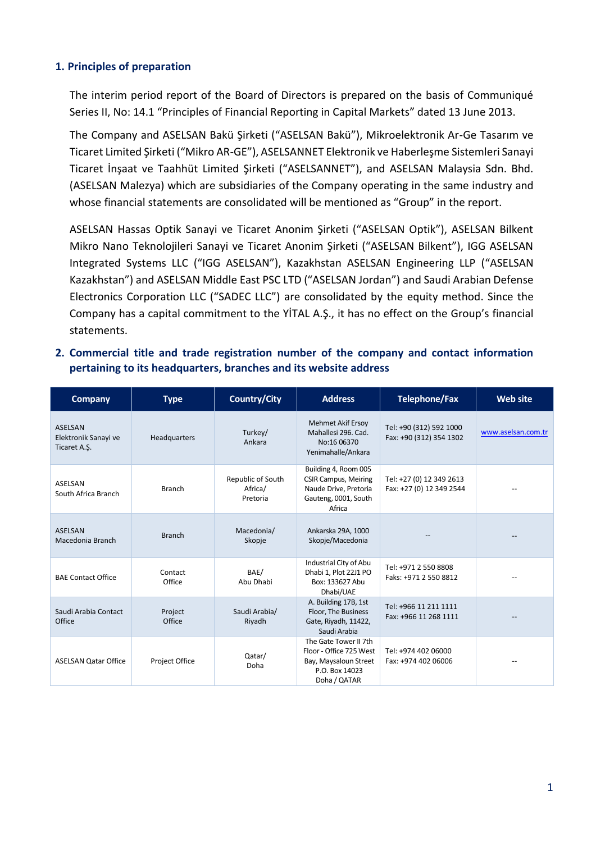#### <span id="page-3-0"></span>**1. Principles of preparation**

The interim period report of the Board of Directors is prepared on the basis of Communiqué Series II, No: 14.1 "Principles of Financial Reporting in Capital Markets" dated 13 June 2013.

The Company and ASELSAN Bakü Şirketi ("ASELSAN Bakü"), Mikroelektronik Ar-Ge Tasarım ve Ticaret Limited Şirketi ("Mikro AR-GE"), ASELSANNET Elektronik ve Haberleşme Sistemleri Sanayi Ticaret İnşaat ve Taahhüt Limited Şirketi ("ASELSANNET"), and ASELSAN Malaysia Sdn. Bhd. (ASELSAN Malezya) which are subsidiaries of the Company operating in the same industry and whose financial statements are consolidated will be mentioned as "Group" in the report.

ASELSAN Hassas Optik Sanayi ve Ticaret Anonim Şirketi ("ASELSAN Optik"), ASELSAN Bilkent Mikro Nano Teknolojileri Sanayi ve Ticaret Anonim Şirketi ("ASELSAN Bilkent"), IGG ASELSAN Integrated Systems LLC ("IGG ASELSAN"), Kazakhstan ASELSAN Engineering LLP ("ASELSAN Kazakhstan") and ASELSAN Middle East PSC LTD ("ASELSAN Jordan") and Saudi Arabian Defense Electronics Corporation LLC ("SADEC LLC") are consolidated by the equity method. Since the Company has a capital commitment to the YİTAL A.Ş., it has no effect on the Group's financial statements.

<span id="page-3-1"></span>**2. Commercial title and trade registration number of the company and contact information pertaining to its headquarters, branches and its website address**

| <b>Company</b>                                         | <b>Type</b>       | <b>Country/City</b>                      | <b>Address</b>                                                                                                 | <b>Telephone/Fax</b>                                 | <b>Web site</b>    |
|--------------------------------------------------------|-------------------|------------------------------------------|----------------------------------------------------------------------------------------------------------------|------------------------------------------------------|--------------------|
| <b>ASELSAN</b><br>Elektronik Sanayi ve<br>Ticaret A.Ş. | Headquarters      | Turkey/<br>Ankara                        | <b>Mehmet Akif Ersoy</b><br>Mahallesi 296, Cad.<br>No:16 06370<br>Yenimahalle/Ankara                           | Tel: +90 (312) 592 1000<br>Fax: +90 (312) 354 1302   | www.aselsan.com.tr |
| ASELSAN<br>South Africa Branch                         | <b>Branch</b>     | Republic of South<br>Africa/<br>Pretoria | Building 4, Room 005<br><b>CSIR Campus, Meiring</b><br>Naude Drive, Pretoria<br>Gauteng, 0001, South<br>Africa | Tel: +27 (0) 12 349 2613<br>Fax: +27 (0) 12 349 2544 |                    |
| <b>ASELSAN</b><br>Macedonia Branch                     | <b>Branch</b>     | Macedonia/<br>Skopje                     | Ankarska 29A, 1000<br>Skopje/Macedonia                                                                         |                                                      |                    |
| <b>BAE Contact Office</b>                              | Contact<br>Office | BAE/<br>Abu Dhabi                        | Industrial City of Abu<br>Dhabi 1, Plot 22J1 PO<br>Box: 133627 Abu<br>Dhabi/UAE                                | Tel: +971 2 550 8808<br>Faks: +971 2 550 8812        |                    |
| Saudi Arabia Contact<br>Office                         | Project<br>Office | Saudi Arabia/<br>Riyadh                  | A. Building 17B, 1st<br>Floor, The Business<br>Gate, Riyadh, 11422,<br>Saudi Arabia                            | Tel: +966 11 211 1111<br>Fax: +966 11 268 1111       |                    |
| <b>ASELSAN Qatar Office</b>                            | Project Office    | Qatar/<br>Doha                           | The Gate Tower II 7th<br>Floor - Office 725 West<br>Bay, Maysaloun Street<br>P.O. Box 14023<br>Doha / QATAR    | Tel: +974 402 06000<br>Fax: +974 402 06006           |                    |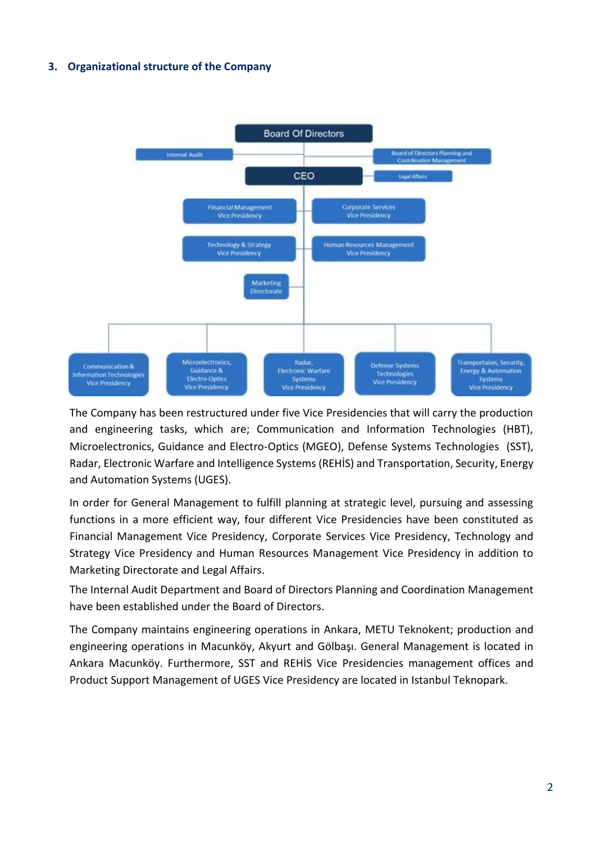#### <span id="page-4-0"></span>**3. Organizational structure of the Company**



The Company has been restructured under five Vice Presidencies that will carry the production and engineering tasks, which are; Communication and Information Technologies (HBT), Microelectronics, Guidance and Electro-Optics (MGEO), Defense Systems Technologies (SST), Radar, Electronic Warfare and Intelligence Systems (REHİS) and Transportation, Security, Energy and Automation Systems (UGES).

In order for General Management to fulfill planning at strategic level, pursuing and assessing functions in a more efficient way, four different Vice Presidencies have been constituted as Financial Management Vice Presidency, Corporate Services Vice Presidency, Technology and Strategy Vice Presidency and Human Resources Management Vice Presidency in addition to Marketing Directorate and Legal Affairs.

The Internal Audit Department and Board of Directors Planning and Coordination Management have been established under the Board of Directors.

The Company maintains engineering operations in Ankara, METU Teknokent; production and engineering operations in Macunköy, Akyurt and Gölbaşı. General Management is located in Ankara Macunköy. Furthermore, SST and REHİS Vice Presidencies management offices and Product Support Management of UGES Vice Presidency are located in Istanbul Teknopark.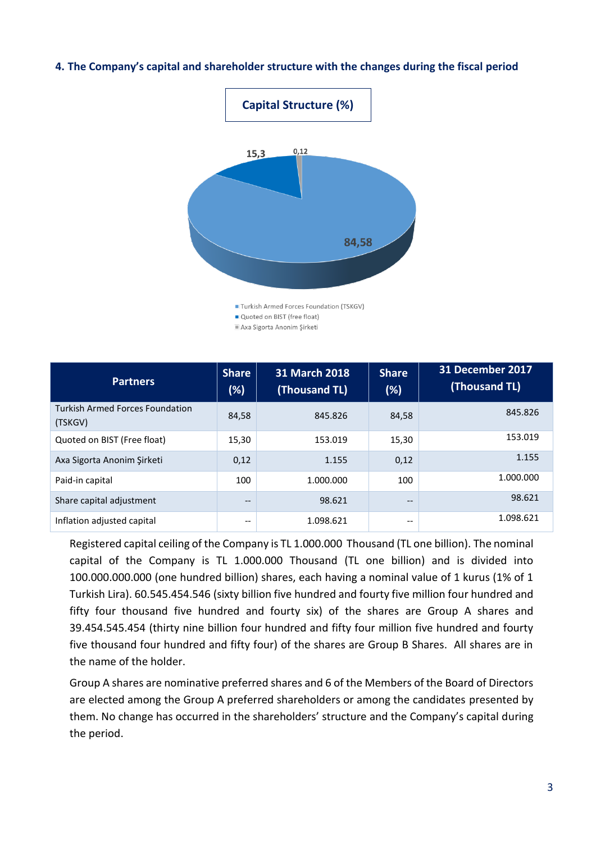#### <span id="page-5-0"></span>**4. The Company's capital and shareholder structure with the changes during the fiscal period**



**Partners Share (%) 31 March 2018 (Thousand TL) Share (%) 31 December 2017 (Thousand TL)** Turkish Armed Forces Foundation (TSKGV) 84,58 845.826 845.826 845.826 Quoted on BIST (Free float) 15,30 153.019 153.019 15,30 153.019 Axa Sigorta Anonim Şirketi 0,12 1.155 0,12 1.155 Paid-in capital 100 1.000.000 100 1.000.000 Share capital adjustment and the state of the set of the set of the set of the set of the set of the set of the set of the set of the set of the set of the set of the set of the set of the set of the set of the set of the 98.621 Inflation adjusted capital  $\qquad \qquad$  -- 1.098.621 --1.098.621

Axa Sigorta Anonim Şirketi

Registered capital ceiling of the Company is TL 1.000.000 Thousand (TL one billion). The nominal capital of the Company is TL 1.000.000 Thousand (TL one billion) and is divided into 100.000.000.000 (one hundred billion) shares, each having a nominal value of 1 kurus (1% of 1 Turkish Lira). 60.545.454.546 (sixty billion five hundred and fourty five million four hundred and fifty four thousand five hundred and fourty six) of the shares are Group A shares and 39.454.545.454 (thirty nine billion four hundred and fifty four million five hundred and fourty five thousand four hundred and fifty four) of the shares are Group B Shares. All shares are in the name of the holder.

Group A shares are nominative preferred shares and 6 of the Members of the Board of Directors are elected among the Group A preferred shareholders or among the candidates presented by them. No change has occurred in the shareholders' structure and the Company's capital during the period.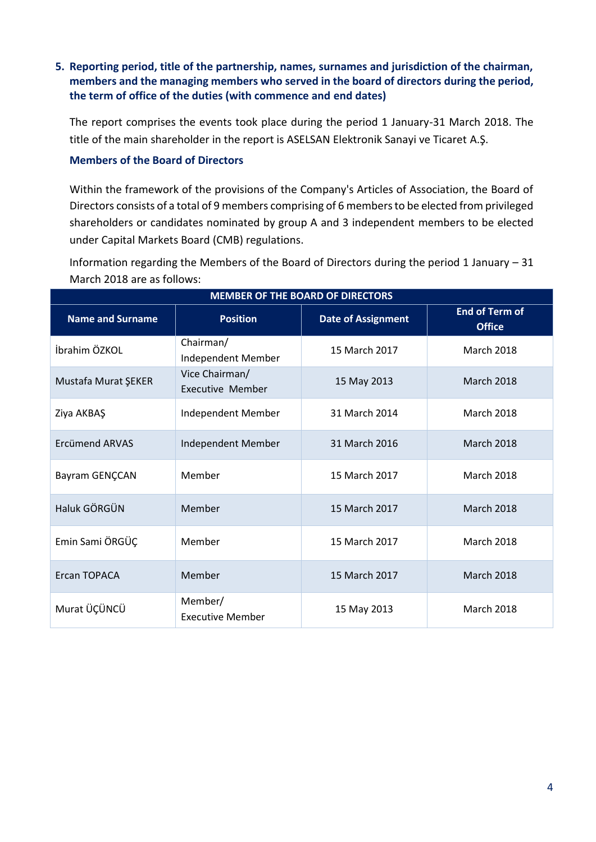#### <span id="page-6-0"></span>**5. Reporting period, title of the partnership, names, surnames and jurisdiction of the chairman, members and the managing members who served in the board of directors during the period, the term of office of the duties (with commence and end dates)**

The report comprises the events took place during the period 1 January-31 March 2018. The title of the main shareholder in the report is ASELSAN Elektronik Sanayi ve Ticaret A.Ş.

#### **Members of the Board of Directors**

Within the framework of the provisions of the Company's Articles of Association, the Board of Directors consists of a total of 9 members comprising of 6 members to be elected from privileged shareholders or candidates nominated by group A and 3 independent members to be elected under Capital Markets Board (CMB) regulations.

Information regarding the Members of the Board of Directors during the period 1 January – 31 March 2018 are as follows:

| <b>MEMBER OF THE BOARD OF DIRECTORS</b> |                                           |                           |                                        |  |  |
|-----------------------------------------|-------------------------------------------|---------------------------|----------------------------------------|--|--|
| <b>Name and Surname</b>                 | <b>Position</b>                           | <b>Date of Assignment</b> | <b>End of Term of</b><br><b>Office</b> |  |  |
| İbrahim ÖZKOL                           | Chairman/<br>Independent Member           | 15 March 2017             | <b>March 2018</b>                      |  |  |
| Mustafa Murat ŞEKER                     | Vice Chairman/<br><b>Executive Member</b> | 15 May 2013               | <b>March 2018</b>                      |  |  |
| Ziya AKBAŞ                              | Independent Member                        | 31 March 2014             | <b>March 2018</b>                      |  |  |
| <b>Frcümend ARVAS</b>                   | Independent Member                        | 31 March 2016             | <b>March 2018</b>                      |  |  |
| Bayram GENÇCAN                          | Member                                    | 15 March 2017             | <b>March 2018</b>                      |  |  |
| Haluk GÖRGÜN                            | Member                                    | 15 March 2017             | <b>March 2018</b>                      |  |  |
| Emin Sami ÖRGÜÇ                         | Member                                    | 15 March 2017             | <b>March 2018</b>                      |  |  |
| Ercan TOPACA                            | Member                                    | 15 March 2017             | <b>March 2018</b>                      |  |  |
| Murat ÜÇÜNCÜ                            | Member/<br><b>Executive Member</b>        | 15 May 2013               | <b>March 2018</b>                      |  |  |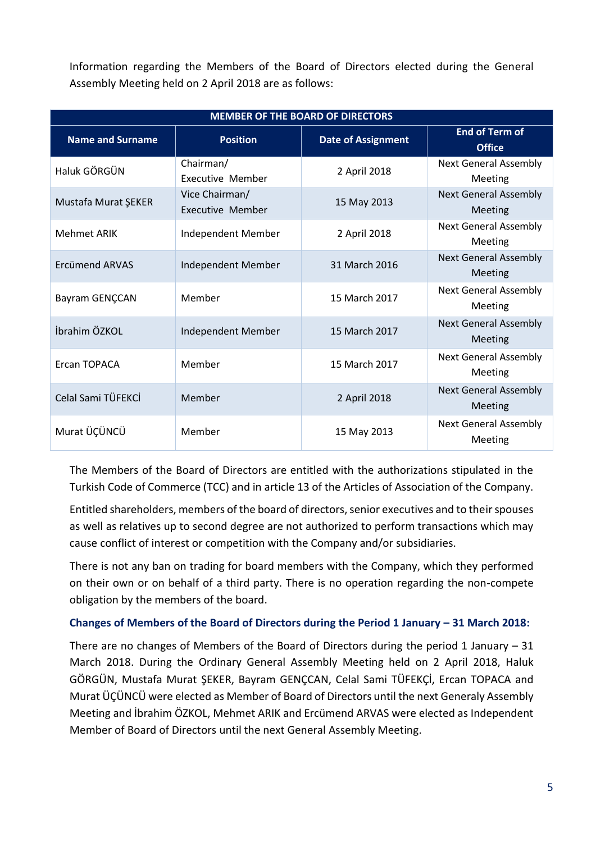Information regarding the Members of the Board of Directors elected during the General Assembly Meeting held on 2 April 2018 are as follows:

| <b>MEMBER OF THE BOARD OF DIRECTORS</b>                                                                           |                                    |               |                                         |  |  |  |
|-------------------------------------------------------------------------------------------------------------------|------------------------------------|---------------|-----------------------------------------|--|--|--|
| <b>End of Term of</b><br><b>Name and Surname</b><br><b>Position</b><br><b>Date of Assignment</b><br><b>Office</b> |                                    |               |                                         |  |  |  |
| Haluk GÖRGÜN                                                                                                      | Chairman/<br>Executive Member      | 2 April 2018  | <b>Next General Assembly</b><br>Meeting |  |  |  |
| Mustafa Murat ŞEKER                                                                                               | Vice Chairman/<br>Executive Member | 15 May 2013   | <b>Next General Assembly</b><br>Meeting |  |  |  |
| <b>Mehmet ARIK</b>                                                                                                | Independent Member                 | 2 April 2018  | <b>Next General Assembly</b><br>Meeting |  |  |  |
| <b>Frcümend ARVAS</b>                                                                                             | Independent Member                 | 31 March 2016 | <b>Next General Assembly</b><br>Meeting |  |  |  |
| Bayram GENÇCAN                                                                                                    | Member                             | 15 March 2017 | <b>Next General Assembly</b><br>Meeting |  |  |  |
| İbrahim ÖZKOL                                                                                                     | Independent Member                 | 15 March 2017 | <b>Next General Assembly</b><br>Meeting |  |  |  |
| <b>Frcan TOPACA</b>                                                                                               | Member                             | 15 March 2017 | <b>Next General Assembly</b><br>Meeting |  |  |  |
| Celal Sami TÜFEKCİ                                                                                                | Member                             | 2 April 2018  | <b>Next General Assembly</b><br>Meeting |  |  |  |
| Murat ÜÇÜNCÜ                                                                                                      | Member                             | 15 May 2013   | <b>Next General Assembly</b><br>Meeting |  |  |  |

The Members of the Board of Directors are entitled with the authorizations stipulated in the Turkish Code of Commerce (TCC) and in article 13 of the Articles of Association of the Company.

Entitled shareholders, members of the board of directors, senior executives and to their spouses as well as relatives up to second degree are not authorized to perform transactions which may cause conflict of interest or competition with the Company and/or subsidiaries.

There is not any ban on trading for board members with the Company, which they performed on their own or on behalf of a third party. There is no operation regarding the non-compete obligation by the members of the board.

#### **Changes of Members of the Board of Directors during the Period 1 January – 31 March 2018:**

There are no changes of Members of the Board of Directors during the period 1 January – 31 March 2018. During the Ordinary General Assembly Meeting held on 2 April 2018, Haluk GÖRGÜN, Mustafa Murat ŞEKER, Bayram GENÇCAN, Celal Sami TÜFEKÇİ, Ercan TOPACA and Murat ÜÇÜNCÜ were elected as Member of Board of Directors until the next Generaly Assembly Meeting and İbrahim ÖZKOL, Mehmet ARIK and Ercümend ARVAS were elected as Independent Member of Board of Directors until the next General Assembly Meeting.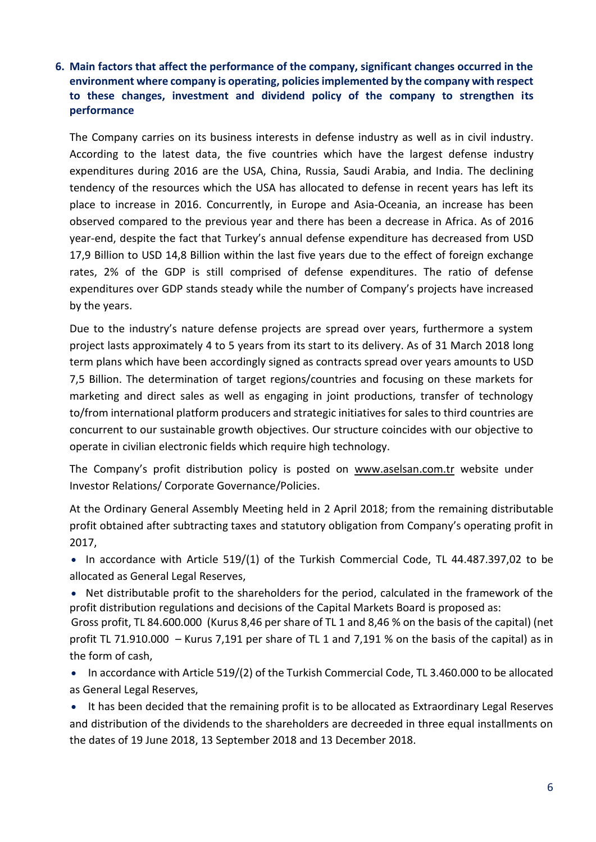#### <span id="page-8-0"></span>**6. Main factors that affect the performance of the company, significant changes occurred in the environment where company is operating, policies implemented by the company with respect to these changes, investment and dividend policy of the company to strengthen its performance**

The Company carries on its business interests in defense industry as well as in civil industry. According to the latest data, the five countries which have the largest defense industry expenditures during 2016 are the USA, China, Russia, Saudi Arabia, and India. The declining tendency of the resources which the USA has allocated to defense in recent years has left its place to increase in 2016. Concurrently, in Europe and Asia-Oceania, an increase has been observed compared to the previous year and there has been a decrease in Africa. As of 2016 year-end, despite the fact that Turkey's annual defense expenditure has decreased from USD 17,9 Billion to USD 14,8 Billion within the last five years due to the effect of foreign exchange rates, 2% of the GDP is still comprised of defense expenditures. The ratio of defense expenditures over GDP stands steady while the number of Company's projects have increased by the years.

Due to the industry's nature defense projects are spread over years, furthermore a system project lasts approximately 4 to 5 years from its start to its delivery. As of 31 March 2018 long term plans which have been accordingly signed as contracts spread over years amounts to USD 7,5 Billion. The determination of target regions/countries and focusing on these markets for marketing and direct sales as well as engaging in joint productions, transfer of technology to/from international platform producers and strategic initiatives for sales to third countries are concurrent to our sustainable growth objectives. Our structure coincides with our objective to operate in civilian electronic fields which require high technology.

The Company's profit distribution policy is posted on [www.aselsan.com.tr](http://www.aselsan.com.tr/) website under Investor Relations/ Corporate Governance/Policies.

At the Ordinary General Assembly Meeting held in 2 April 2018; from the remaining distributable profit obtained after subtracting taxes and statutory obligation from Company's operating profit in 2017,

• In accordance with Article 519/(1) of the Turkish Commercial Code, TL 44.487.397,02 to be allocated as General Legal Reserves,

 Net distributable profit to the shareholders for the period, calculated in the framework of the profit distribution regulations and decisions of the Capital Markets Board is proposed as:

Gross profit, TL 84.600.000 (Kurus 8,46 per share of TL 1 and 8,46 % on the basis of the capital) (net profit TL 71.910.000 – Kurus 7,191 per share of TL 1 and 7,191 % on the basis of the capital) as in the form of cash,

- In accordance with Article 519/(2) of the Turkish Commercial Code, TL 3.460.000 to be allocated as General Legal Reserves,
- It has been decided that the remaining profit is to be allocated as Extraordinary Legal Reserves and distribution of the dividends to the shareholders are decreeded in three equal installments on the dates of 19 June 2018, 13 September 2018 and 13 December 2018.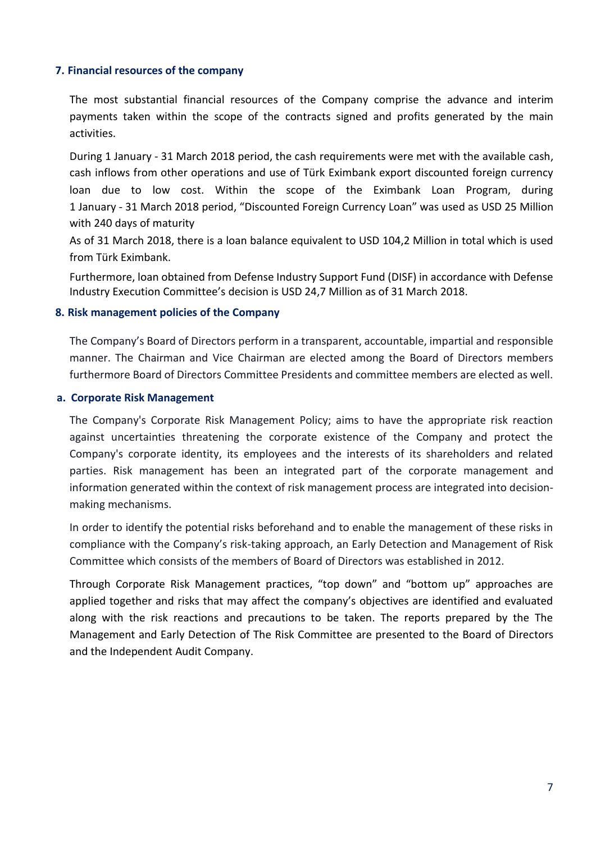#### <span id="page-9-0"></span>**7. Financial resources of the company**

The most substantial financial resources of the Company comprise the advance and interim payments taken within the scope of the contracts signed and profits generated by the main activities.

During 1 January - 31 March 2018 period, the cash requirements were met with the available cash, cash inflows from other operations and use of Türk Eximbank export discounted foreign currency loan due to low cost. Within the scope of the Eximbank Loan Program, during 1 January - 31 March 2018 period, "Discounted Foreign Currency Loan" was used as USD 25 Million with 240 days of maturity

As of 31 March 2018, there is a loan balance equivalent to USD 104,2 Million in total which is used from Türk Eximbank.

<span id="page-9-1"></span>Furthermore, loan obtained from Defense Industry Support Fund (DISF) in accordance with Defense Industry Execution Committee's decision is USD 24,7 Million as of 31 March 2018.

#### **8. Risk management policies of the Company**

The Company's Board of Directors perform in a transparent, accountable, impartial and responsible manner. The Chairman and Vice Chairman are elected among the Board of Directors members furthermore Board of Directors Committee Presidents and committee members are elected as well.

#### **a. Corporate Risk Management**

The Company's Corporate Risk Management Policy; aims to have the appropriate risk reaction against uncertainties threatening the corporate existence of the Company and protect the Company's corporate identity, its employees and the interests of its shareholders and related parties. Risk management has been an integrated part of the corporate management and information generated within the context of risk management process are integrated into decisionmaking mechanisms.

In order to identify the potential risks beforehand and to enable the management of these risks in compliance with the Company's risk-taking approach, an Early Detection and Management of Risk Committee which consists of the members of Board of Directors was established in 2012.

Through Corporate Risk Management practices, "top down" and "bottom up" approaches are applied together and risks that may affect the company's objectives are identified and evaluated along with the risk reactions and precautions to be taken. The reports prepared by the The Management and Early Detection of The Risk Committee are presented to the Board of Directors and the Independent Audit Company.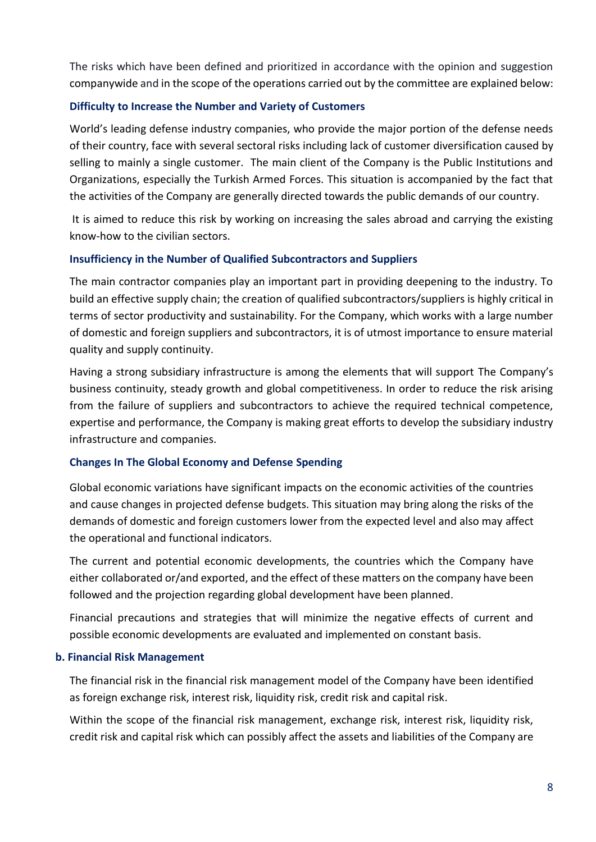The risks which have been defined and prioritized in accordance with the opinion and suggestion companywide and in the scope of the operations carried out by the committee are explained below:

#### **Difficulty to Increase the Number and Variety of Customers**

World's leading defense industry companies, who provide the major portion of the defense needs of their country, face with several sectoral risks including lack of customer diversification caused by selling to mainly a single customer. The main client of the Company is the Public Institutions and Organizations, especially the Turkish Armed Forces. This situation is accompanied by the fact that the activities of the Company are generally directed towards the public demands of our country.

It is aimed to reduce this risk by working on increasing the sales abroad and carrying the existing know-how to the civilian sectors.

#### **Insufficiency in the Number of Qualified Subcontractors and Suppliers**

The main contractor companies play an important part in providing deepening to the industry. To build an effective supply chain; the creation of qualified subcontractors/suppliers is highly critical in terms of sector productivity and sustainability. For the Company, which works with a large number of domestic and foreign suppliers and subcontractors, it is of utmost importance to ensure material quality and supply continuity.

Having a strong subsidiary infrastructure is among the elements that will support The Company's business continuity, steady growth and global competitiveness. In order to reduce the risk arising from the failure of suppliers and subcontractors to achieve the required technical competence, expertise and performance, the Company is making great efforts to develop the subsidiary industry infrastructure and companies.

#### **Changes In The Global Economy and Defense Spending**

Global economic variations have significant impacts on the economic activities of the countries and cause changes in projected defense budgets. This situation may bring along the risks of the demands of domestic and foreign customers lower from the expected level and also may affect the operational and functional indicators.

The current and potential economic developments, the countries which the Company have either collaborated or/and exported, and the effect of these matters on the company have been followed and the projection regarding global development have been planned.

Financial precautions and strategies that will minimize the negative effects of current and possible economic developments are evaluated and implemented on constant basis.

#### **b. Financial Risk Management**

The financial risk in the financial risk management model of the Company have been identified as foreign exchange risk, interest risk, liquidity risk, credit risk and capital risk.

Within the scope of the financial risk management, exchange risk, interest risk, liquidity risk, credit risk and capital risk which can possibly affect the assets and liabilities of the Company are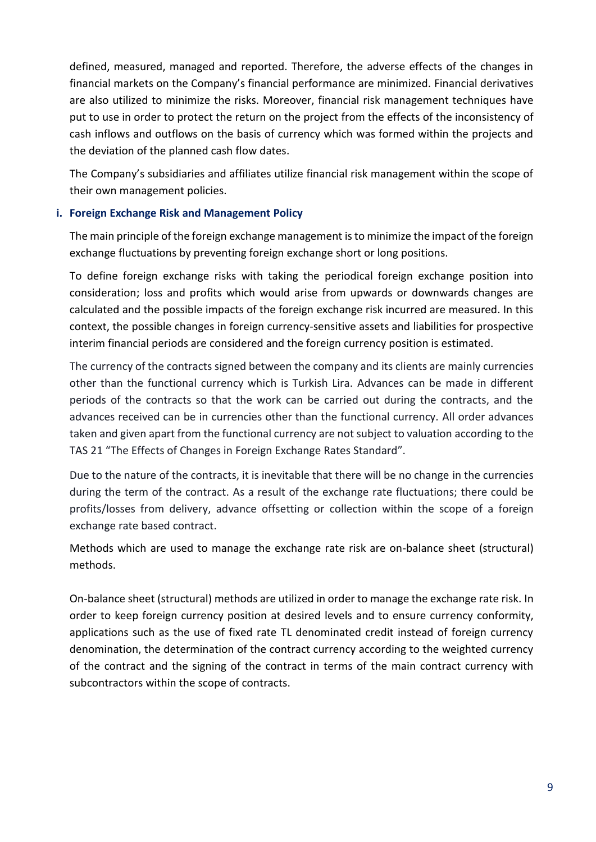defined, measured, managed and reported. Therefore, the adverse effects of the changes in financial markets on the Company's financial performance are minimized. Financial derivatives are also utilized to minimize the risks. Moreover, financial risk management techniques have put to use in order to protect the return on the project from the effects of the inconsistency of cash inflows and outflows on the basis of currency which was formed within the projects and the deviation of the planned cash flow dates.

The Company's subsidiaries and affiliates utilize financial risk management within the scope of their own management policies.

#### **i. Foreign Exchange Risk and Management Policy**

The main principle of the foreign exchange management is to minimize the impact of the foreign exchange fluctuations by preventing foreign exchange short or long positions.

To define foreign exchange risks with taking the periodical foreign exchange position into consideration; loss and profits which would arise from upwards or downwards changes are calculated and the possible impacts of the foreign exchange risk incurred are measured. In this context, the possible changes in foreign currency-sensitive assets and liabilities for prospective interim financial periods are considered and the foreign currency position is estimated.

The currency of the contracts signed between the company and its clients are mainly currencies other than the functional currency which is Turkish Lira. Advances can be made in different periods of the contracts so that the work can be carried out during the contracts, and the advances received can be in currencies other than the functional currency. All order advances taken and given apart from the functional currency are not subject to valuation according to the TAS 21 "The Effects of Changes in Foreign Exchange Rates Standard".

Due to the nature of the contracts, it is inevitable that there will be no change in the currencies during the term of the contract. As a result of the exchange rate fluctuations; there could be profits/losses from delivery, advance offsetting or collection within the scope of a foreign exchange rate based contract.

Methods which are used to manage the exchange rate risk are on-balance sheet (structural) methods.

On-balance sheet (structural) methods are utilized in order to manage the exchange rate risk. In order to keep foreign currency position at desired levels and to ensure currency conformity, applications such as the use of fixed rate TL denominated credit instead of foreign currency denomination, the determination of the contract currency according to the weighted currency of the contract and the signing of the contract in terms of the main contract currency with subcontractors within the scope of contracts.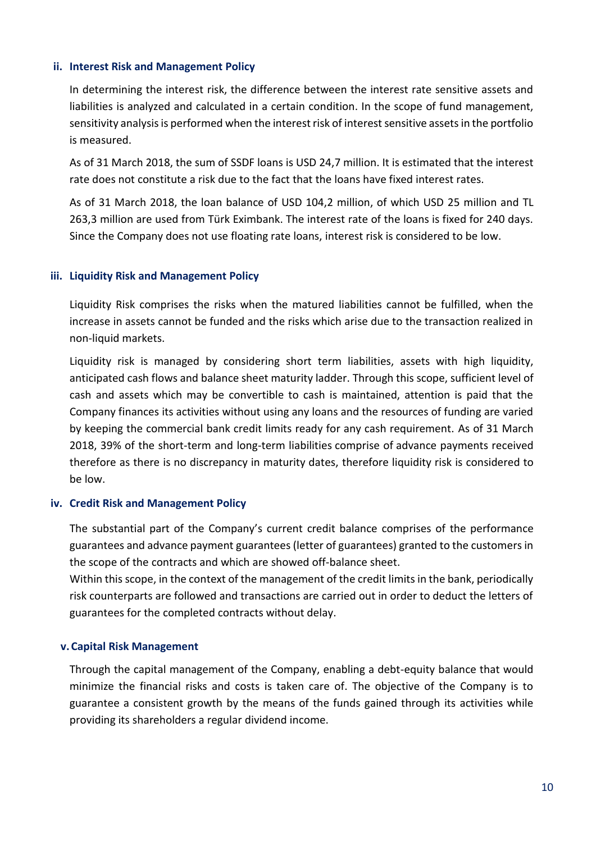#### **ii. Interest Risk and Management Policy**

In determining the interest risk, the difference between the interest rate sensitive assets and liabilities is analyzed and calculated in a certain condition. In the scope of fund management, sensitivity analysis is performed when the interest risk of interest sensitive assets in the portfolio is measured.

As of 31 March 2018, the sum of SSDF loans is USD 24,7 million. It is estimated that the interest rate does not constitute a risk due to the fact that the loans have fixed interest rates.

As of 31 March 2018, the loan balance of USD 104,2 million, of which USD 25 million and TL 263,3 million are used from Türk Eximbank. The interest rate of the loans is fixed for 240 days. Since the Company does not use floating rate loans, interest risk is considered to be low.

#### **iii. Liquidity Risk and Management Policy**

Liquidity Risk comprises the risks when the matured liabilities cannot be fulfilled, when the increase in assets cannot be funded and the risks which arise due to the transaction realized in non-liquid markets.

Liquidity risk is managed by considering short term liabilities, assets with high liquidity, anticipated cash flows and balance sheet maturity ladder. Through this scope, sufficient level of cash and assets which may be convertible to cash is maintained, attention is paid that the Company finances its activities without using any loans and the resources of funding are varied by keeping the commercial bank credit limits ready for any cash requirement. As of 31 March 2018, 39% of the short-term and long-term liabilities comprise of advance payments received therefore as there is no discrepancy in maturity dates, therefore liquidity risk is considered to be low.

#### **iv. Credit Risk and Management Policy**

The substantial part of the Company's current credit balance comprises of the performance guarantees and advance payment guarantees (letter of guarantees) granted to the customers in the scope of the contracts and which are showed off-balance sheet.

Within this scope, in the context of the management of the credit limits in the bank, periodically risk counterparts are followed and transactions are carried out in order to deduct the letters of guarantees for the completed contracts without delay.

#### **v. Capital Risk Management**

Through the capital management of the Company, enabling a debt-equity balance that would minimize the financial risks and costs is taken care of. The objective of the Company is to guarantee a consistent growth by the means of the funds gained through its activities while providing its shareholders a regular dividend income.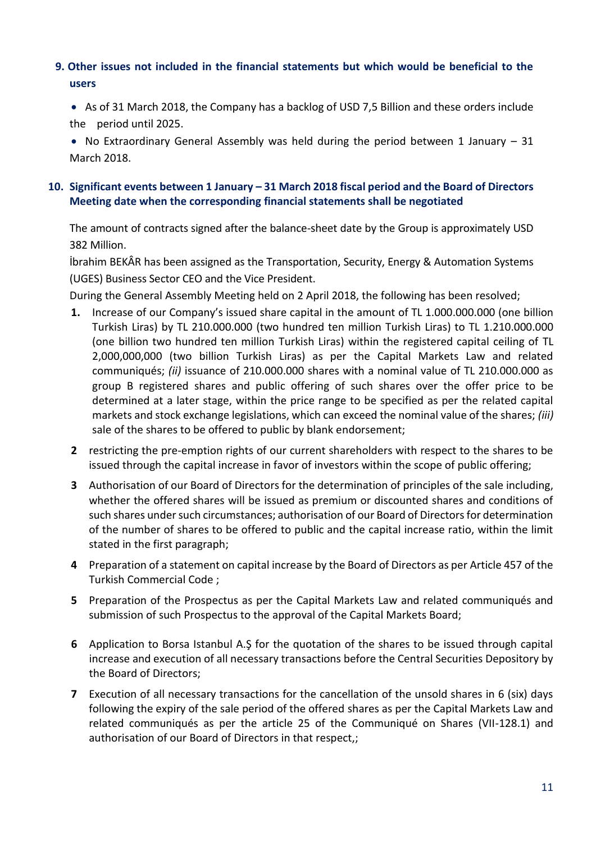#### <span id="page-13-1"></span><span id="page-13-0"></span>**9. Other issues not included in the financial statements but which would be beneficial to the users**

 As of 31 March 2018, the Company has a backlog of USD 7,5 Billion and these orders include the period until 2025.

• No Extraordinary General Assembly was held during the period between 1 January  $-31$ March 2018.

#### **10. Significant events between 1 January – 31 March 2018 fiscal period and the Board of Directors Meeting date when the corresponding financial statements shall be negotiated**

The amount of contracts signed after the balance-sheet date by the Group is approximately USD 382 Million.

İbrahim BEKÂR has been assigned as the Transportation, Security, Energy & Automation Systems (UGES) Business Sector CEO and the Vice President.

During the General Assembly Meeting held on 2 April 2018, the following has been resolved;

- **1.** Increase of our Company's issued share capital in the amount of TL 1.000.000.000 (one billion Turkish Liras) by TL 210.000.000 (two hundred ten million Turkish Liras) to TL 1.210.000.000 (one billion two hundred ten million Turkish Liras) within the registered capital ceiling of TL 2,000,000,000 (two billion Turkish Liras) as per the Capital Markets Law and related communiqués; *(ii)* issuance of 210.000.000 shares with a nominal value of TL 210.000.000 as group B registered shares and public offering of such shares over the offer price to be determined at a later stage, within the price range to be specified as per the related capital markets and stock exchange legislations, which can exceed the nominal value of the shares; *(iii)*  sale of the shares to be offered to public by blank endorsement;
- **2** restricting the pre-emption rights of our current shareholders with respect to the shares to be issued through the capital increase in favor of investors within the scope of public offering;
- **3** Authorisation of our Board of Directors for the determination of principles of the sale including, whether the offered shares will be issued as premium or discounted shares and conditions of such shares under such circumstances; authorisation of our Board of Directors for determination of the number of shares to be offered to public and the capital increase ratio, within the limit stated in the first paragraph;
- **4** Preparation of a statement on capital increase by the Board of Directors as per Article 457 of the Turkish Commercial Code ;
- **5** Preparation of the Prospectus as per the Capital Markets Law and related communiqués and submission of such Prospectus to the approval of the Capital Markets Board;
- **6** Application to Borsa Istanbul A.Ş for the quotation of the shares to be issued through capital increase and execution of all necessary transactions before the Central Securities Depository by the Board of Directors;
- **7** Execution of all necessary transactions for the cancellation of the unsold shares in 6 (six) days following the expiry of the sale period of the offered shares as per the Capital Markets Law and related communiqués as per the article 25 of the Communiqué on Shares (VII-128.1) and authorisation of our Board of Directors in that respect,;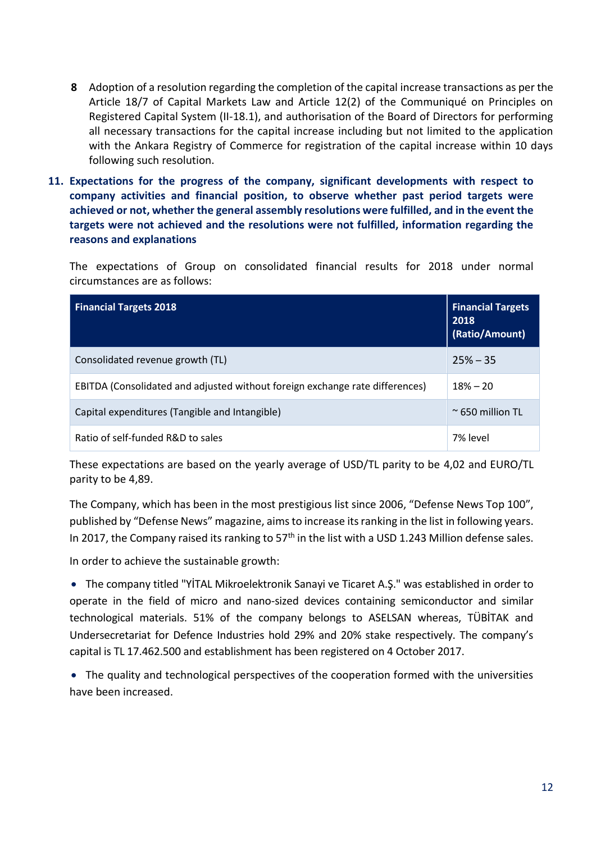- <span id="page-14-0"></span>**8** Adoption of a resolution regarding the completion of the capital increase transactions as per the Article 18/7 of Capital Markets Law and Article 12(2) of the Communiqué on Principles on Registered Capital System (II-18.1), and authorisation of the Board of Directors for performing all necessary transactions for the capital increase including but not limited to the application with the Ankara Registry of Commerce for registration of the capital increase within 10 days following such resolution.
- **11. Expectations for the progress of the company, significant developments with respect to company activities and financial position, to observe whether past period targets were achieved or not, whether the general assembly resolutions were fulfilled, and in the event the targets were not achieved and the resolutions were not fulfilled, information regarding the reasons and explanations**

The expectations of Group on consolidated financial results for 2018 under normal circumstances are as follows:

| <b>Financial Targets 2018</b>                                                | <b>Financial Targets</b><br>2018<br>(Ratio/Amount) |
|------------------------------------------------------------------------------|----------------------------------------------------|
| Consolidated revenue growth (TL)                                             | $25% - 35$                                         |
| EBITDA (Consolidated and adjusted without foreign exchange rate differences) | $18% - 20$                                         |
| Capital expenditures (Tangible and Intangible)                               | $\approx$ 650 million TL                           |
| Ratio of self-funded R&D to sales                                            | 7% level                                           |

These expectations are based on the yearly average of USD/TL parity to be 4,02 and EURO/TL parity to be 4,89.

The Company, which has been in the most prestigious list since 2006, "Defense News Top 100", published by "Defense News" magazine, aimsto increase its ranking in the list in following years. In 2017, the Company raised its ranking to  $57<sup>th</sup>$  in the list with a USD 1.243 Million defense sales.

In order to achieve the sustainable growth:

 The company titled "YİTAL Mikroelektronik Sanayi ve Ticaret A.Ş." was established in order to operate in the field of micro and nano-sized devices containing semiconductor and similar technological materials. 51% of the company belongs to ASELSAN whereas, TÜBİTAK and Undersecretariat for Defence Industries hold 29% and 20% stake respectively. The company's capital is TL 17.462.500 and establishment has been registered on 4 October 2017.

 The quality and technological perspectives of the cooperation formed with the universities have been increased.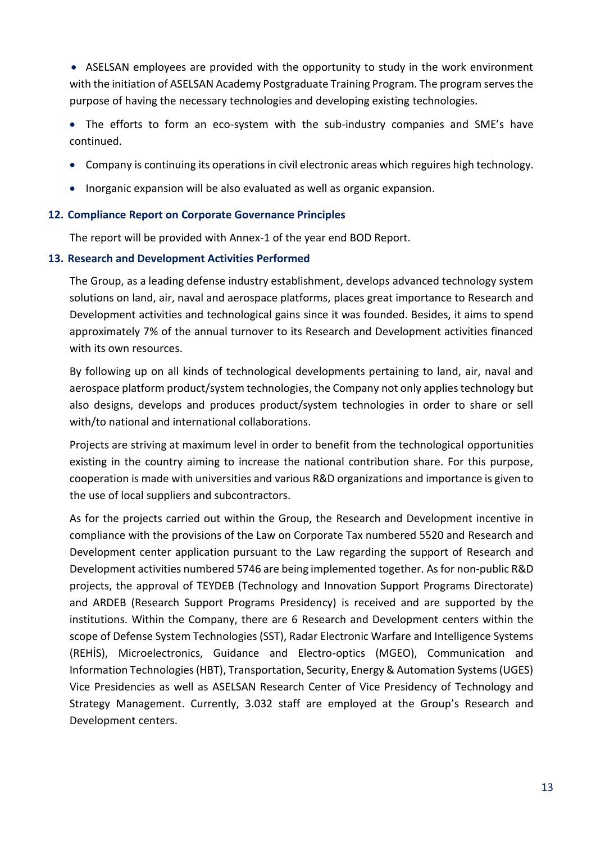ASELSAN employees are provided with the opportunity to study in the work environment with the initiation of ASELSAN Academy Postgraduate Training Program. The program serves the purpose of having the necessary technologies and developing existing technologies.

 The efforts to form an eco-system with the sub-industry companies and SME's have continued.

- <span id="page-15-0"></span>Company is continuing its operations in civil electronic areas which reguires high technology.
- Inorganic expansion will be also evaluated as well as organic expansion.

#### <span id="page-15-1"></span>**12. Compliance Report on Corporate Governance Principles**

The report will be provided with Annex-1 of the year end BOD Report.

#### **13. Research and Development Activities Performed**

The Group, as a leading defense industry establishment, develops advanced technology system solutions on land, air, naval and aerospace platforms, places great importance to Research and Development activities and technological gains since it was founded. Besides, it aims to spend approximately 7% of the annual turnover to its Research and Development activities financed with its own resources.

By following up on all kinds of technological developments pertaining to land, air, naval and aerospace platform product/system technologies, the Company not only applies technology but also designs, develops and produces product/system technologies in order to share or sell with/to national and international collaborations.

Projects are striving at maximum level in order to benefit from the technological opportunities existing in the country aiming to increase the national contribution share. For this purpose, cooperation is made with universities and various R&D organizations and importance is given to the use of local suppliers and subcontractors.

As for the projects carried out within the Group, the Research and Development incentive in compliance with the provisions of the Law on Corporate Tax numbered 5520 and Research and Development center application pursuant to the Law regarding the support of Research and Development activities numbered 5746 are being implemented together. As for non-public R&D projects, the approval of TEYDEB (Technology and Innovation Support Programs Directorate) and ARDEB (Research Support Programs Presidency) is received and are supported by the institutions. Within the Company, there are 6 Research and Development centers within the scope of Defense System Technologies (SST), Radar Electronic Warfare and Intelligence Systems (REHİS), Microelectronics, Guidance and Electro-optics (MGEO), Communication and Information Technologies (HBT), Transportation, Security, Energy & Automation Systems (UGES) Vice Presidencies as well as ASELSAN Research Center of Vice Presidency of Technology and Strategy Management. Currently, 3.032 staff are employed at the Group's Research and Development centers.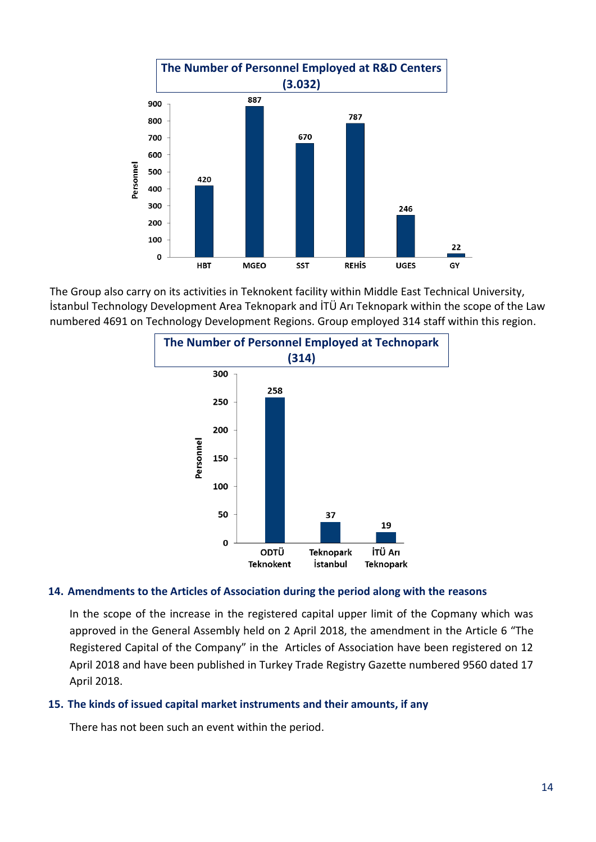

The Group also carry on its activities in Teknokent facility within Middle East Technical University, İstanbul Technology Development Area Teknopark and İTÜ Arı Teknopark within the scope of the Law numbered 4691 on Technology Development Regions. Group employed 314 staff within this region.



#### <span id="page-16-0"></span>**14. Amendments to the Articles of Association during the period along with the reasons**

<span id="page-16-1"></span>In the scope of the increase in the registered capital upper limit of the Copmany which was approved in the General Assembly held on 2 April 2018, the amendment in the Article 6 "The Registered Capital of the Company" in the Articles of Association have been registered on 12 April 2018 and have been published in Turkey Trade Registry Gazette numbered 9560 dated 17 April 2018.

#### **15. The kinds of issued capital market instruments and their amounts, if any**

There has not been such an event within the period.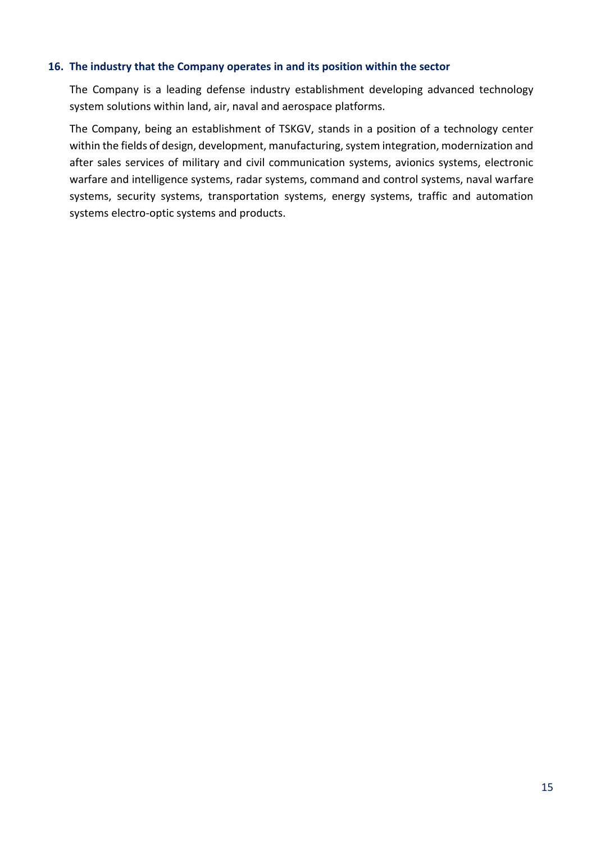#### <span id="page-17-0"></span>**16. The industry that the Company operates in and its position within the sector**

The Company is a leading defense industry establishment developing advanced technology system solutions within land, air, naval and aerospace platforms.

The Company, being an establishment of TSKGV, stands in a position of a technology center within the fields of design, development, manufacturing, system integration, modernization and after sales services of military and civil communication systems, avionics systems, electronic warfare and intelligence systems, radar systems, command and control systems, naval warfare systems, security systems, transportation systems, energy systems, traffic and automation systems electro-optic systems and products.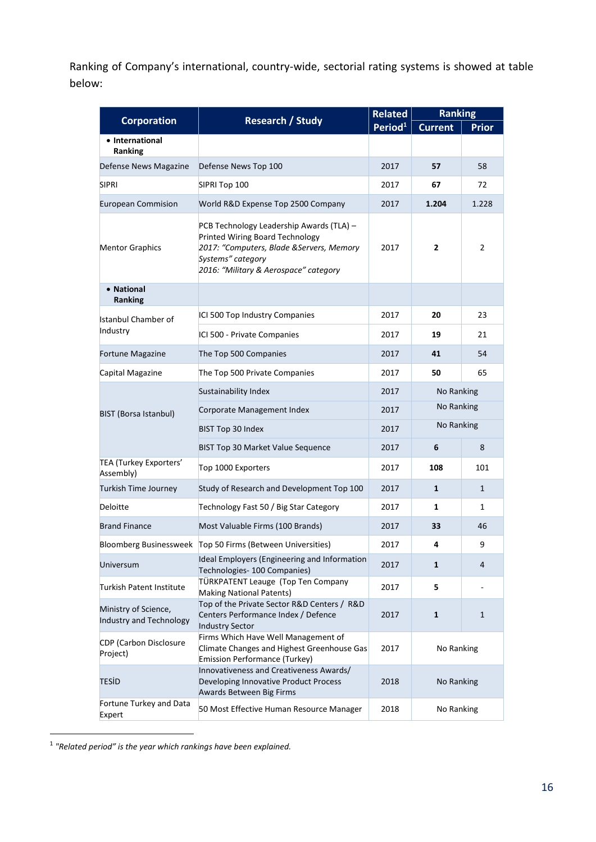Ranking of Company's international, country-wide, sectorial rating systems is showed at table below:

|                                                 | <b>Corporation</b><br><b>Research / Study</b>                                                                                                                                          |                     | <b>Ranking</b> |                |
|-------------------------------------------------|----------------------------------------------------------------------------------------------------------------------------------------------------------------------------------------|---------------------|----------------|----------------|
|                                                 |                                                                                                                                                                                        | Period <sup>1</sup> | <b>Current</b> | <b>Prior</b>   |
| • International<br>Ranking                      |                                                                                                                                                                                        |                     |                |                |
| Defense News Magazine                           | Defense News Top 100                                                                                                                                                                   | 2017                | 57             | 58             |
| <b>SIPRI</b>                                    | SIPRI Top 100                                                                                                                                                                          | 2017                | 67             | 72             |
| <b>European Commision</b>                       | World R&D Expense Top 2500 Company                                                                                                                                                     | 2017                | 1.204          | 1.228          |
| <b>Mentor Graphics</b>                          | PCB Technology Leadership Awards (TLA) -<br>Printed Wiring Board Technology<br>2017: "Computers, Blade & Servers, Memory<br>Systems" category<br>2016: "Military & Aerospace" category | 2017                | $\mathbf{z}$   | $\overline{2}$ |
| • National<br><b>Ranking</b>                    |                                                                                                                                                                                        |                     |                |                |
| <b>Istanbul Chamber of</b>                      | ICI 500 Top Industry Companies                                                                                                                                                         | 2017                | 20             | 23             |
| Industry                                        | ICI 500 - Private Companies                                                                                                                                                            | 2017                | 19             | 21             |
| <b>Fortune Magazine</b>                         | The Top 500 Companies                                                                                                                                                                  | 2017                | 41             | 54             |
| Capital Magazine                                | The Top 500 Private Companies                                                                                                                                                          | 2017                | 50             | 65             |
|                                                 | Sustainability Index                                                                                                                                                                   | 2017                | No Ranking     |                |
| <b>BIST (Borsa Istanbul)</b>                    | Corporate Management Index                                                                                                                                                             | 2017                | No Ranking     |                |
|                                                 | BIST Top 30 Index                                                                                                                                                                      | 2017                | No Ranking     |                |
|                                                 | <b>BIST Top 30 Market Value Sequence</b>                                                                                                                                               | 2017                | 6              | 8              |
| TEA (Turkey Exporters'<br>Assembly)             | Top 1000 Exporters                                                                                                                                                                     | 2017                | 108            | 101            |
| <b>Turkish Time Journey</b>                     | Study of Research and Development Top 100                                                                                                                                              | 2017                | $\mathbf{1}$   | $\mathbf{1}$   |
| Deloitte                                        | Technology Fast 50 / Big Star Category                                                                                                                                                 | 2017                | 1              | 1              |
| <b>Brand Finance</b>                            | Most Valuable Firms (100 Brands)                                                                                                                                                       | 2017                | 33             | 46             |
|                                                 | Bloomberg Businessweek   Top 50 Firms (Between Universities)                                                                                                                           | 2017                | 4              | 9              |
| Universum                                       | Ideal Employers (Engineering and Information<br>Technologies- 100 Companies)                                                                                                           | 2017                | $\mathbf{1}$   | 4              |
| <b>Turkish Patent Institute</b>                 | TÜRKPATENT Leauge (Top Ten Company<br><b>Making National Patents)</b>                                                                                                                  | 2017                | 5              |                |
| Ministry of Science,<br>Industry and Technology | Top of the Private Sector R&D Centers / R&D<br>Centers Performance Index / Defence<br><b>Industry Sector</b>                                                                           | 2017                | 1              | 1              |
| <b>CDP</b> (Carbon Disclosure<br>Project)       | Firms Which Have Well Management of<br>Climate Changes and Highest Greenhouse Gas<br><b>Emission Performance (Turkey)</b>                                                              | 2017                | No Ranking     |                |
| TESİD                                           | Innovativeness and Creativeness Awards/<br>Developing Innovative Product Process<br>Awards Between Big Firms                                                                           | 2018                | No Ranking     |                |
| Fortune Turkey and Data<br>Expert               | 50 Most Effective Human Resource Manager                                                                                                                                               | 2018                | No Ranking     |                |

<sup>1</sup> *"Related period" is the year which rankings have been explained.*

 $\overline{a}$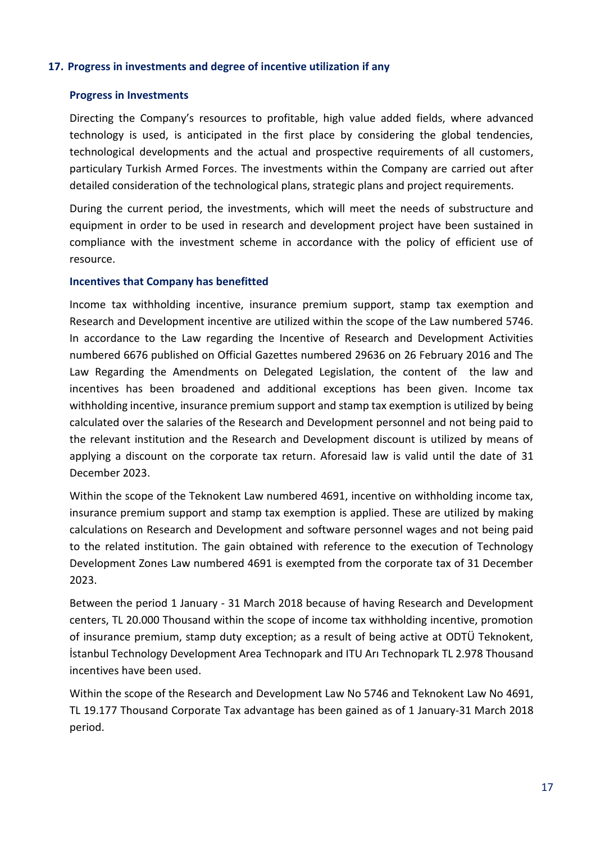#### <span id="page-19-0"></span>**17. Progress in investments and degree of incentive utilization if any**

#### **Progress in Investments**

Directing the Company's resources to profitable, high value added fields, where advanced technology is used, is anticipated in the first place by considering the global tendencies, technological developments and the actual and prospective requirements of all customers, particulary Turkish Armed Forces. The investments within the Company are carried out after detailed consideration of the technological plans, strategic plans and project requirements.

During the current period, the investments, which will meet the needs of substructure and equipment in order to be used in research and development project have been sustained in compliance with the investment scheme in accordance with the policy of efficient use of resource.

#### **Incentives that Company has benefitted**

Income tax withholding incentive, insurance premium support, stamp tax exemption and Research and Development incentive are utilized within the scope of the Law numbered 5746. In accordance to the Law regarding the Incentive of Research and Development Activities numbered 6676 published on Official Gazettes numbered 29636 on 26 February 2016 and The Law Regarding the Amendments on Delegated Legislation, the content of the law and incentives has been broadened and additional exceptions has been given. Income tax withholding incentive, insurance premium support and stamp tax exemption is utilized by being calculated over the salaries of the Research and Development personnel and not being paid to the relevant institution and the Research and Development discount is utilized by means of applying a discount on the corporate tax return. Aforesaid law is valid until the date of 31 December 2023.

Within the scope of the Teknokent Law numbered 4691, incentive on withholding income tax, insurance premium support and stamp tax exemption is applied. These are utilized by making calculations on Research and Development and software personnel wages and not being paid to the related institution. The gain obtained with reference to the execution of Technology Development Zones Law numbered 4691 is exempted from the corporate tax of 31 December 2023.

Between the period 1 January - 31 March 2018 because of having Research and Development centers, TL 20.000 Thousand within the scope of income tax withholding incentive, promotion of insurance premium, stamp duty exception; as a result of being active at ODTÜ Teknokent, İstanbul Technology Development Area Technopark and ITU Arı Technopark TL 2.978 Thousand incentives have been used.

Within the scope of the Research and Development Law No 5746 and Teknokent Law No 4691, TL 19.177 Thousand Corporate Tax advantage has been gained as of 1 January-31 March 2018 period.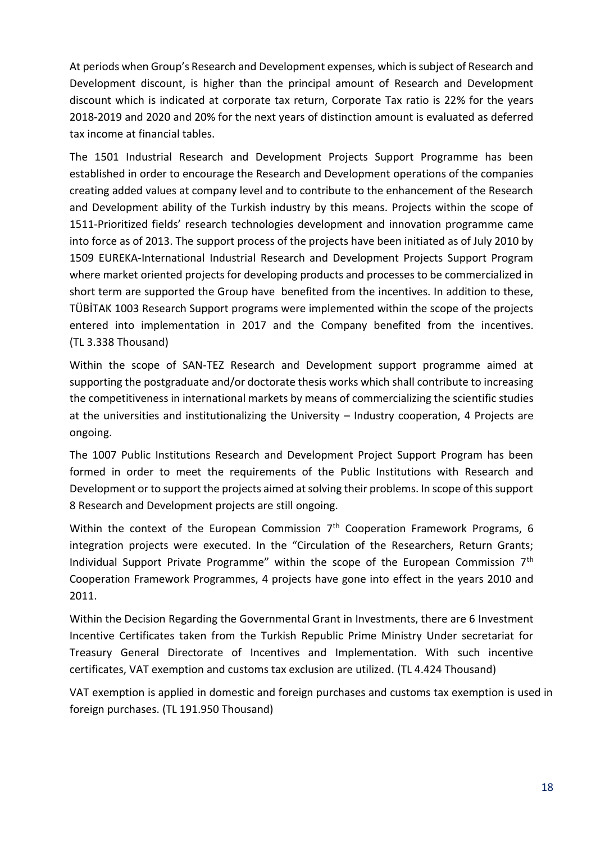At periods when Group's Research and Development expenses, which is subject of Research and Development discount, is higher than the principal amount of Research and Development discount which is indicated at corporate tax return, Corporate Tax ratio is 22% for the years 2018-2019 and 2020 and 20% for the next years of distinction amount is evaluated as deferred tax income at financial tables.

The 1501 Industrial Research and Development Projects Support Programme has been established in order to encourage the Research and Development operations of the companies creating added values at company level and to contribute to the enhancement of the Research and Development ability of the Turkish industry by this means. Projects within the scope of 1511-Prioritized fields' research technologies development and innovation programme came into force as of 2013. The support process of the projects have been initiated as of July 2010 by 1509 EUREKA-International Industrial Research and Development Projects Support Program where market oriented projects for developing products and processes to be commercialized in short term are supported the Group have benefited from the incentives. In addition to these, TÜBİTAK 1003 Research Support programs were implemented within the scope of the projects entered into implementation in 2017 and the Company benefited from the incentives. (TL 3.338 Thousand)

Within the scope of SAN-TEZ Research and Development support programme aimed at supporting the postgraduate and/or doctorate thesis works which shall contribute to increasing the competitiveness in international markets by means of commercializing the scientific studies at the universities and institutionalizing the University – Industry cooperation, 4 Projects are ongoing.

The 1007 Public Institutions Research and Development Project Support Program has been formed in order to meet the requirements of the Public Institutions with Research and Development or to support the projects aimed at solving their problems. In scope of this support 8 Research and Development projects are still ongoing.

Within the context of the European Commission  $7<sup>th</sup>$  Cooperation Framework Programs, 6 integration projects were executed. In the "Circulation of the Researchers, Return Grants; Individual Support Private Programme" within the scope of the European Commission 7<sup>th</sup> Cooperation Framework Programmes, 4 projects have gone into effect in the years 2010 and 2011.

Within the Decision Regarding the Governmental Grant in Investments, there are 6 Investment Incentive Certificates taken from the Turkish Republic Prime Ministry Under secretariat for Treasury General Directorate of Incentives and Implementation. With such incentive certificates, VAT exemption and customs tax exclusion are utilized. (TL 4.424 Thousand)

VAT exemption is applied in domestic and foreign purchases and customs tax exemption is used in foreign purchases. (TL 191.950 Thousand)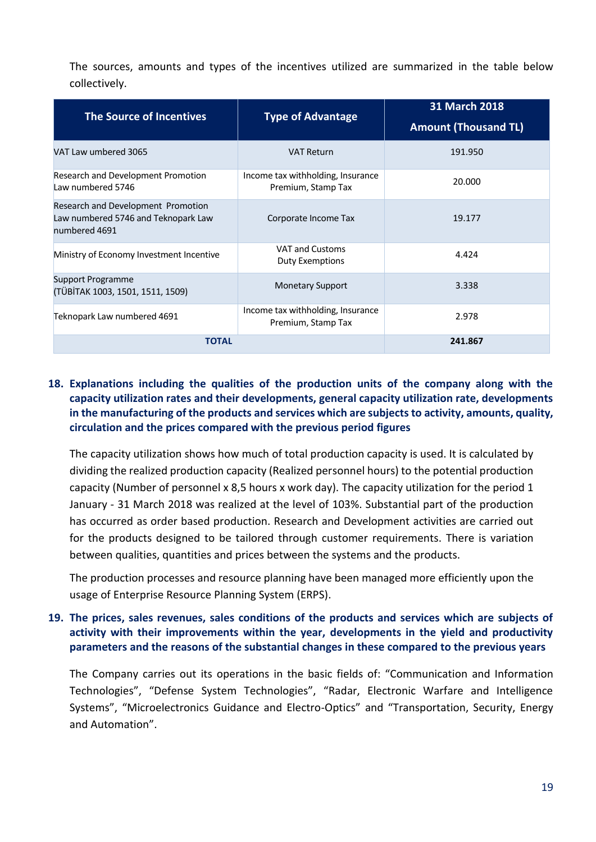The sources, amounts and types of the incentives utilized are summarized in the table below collectively.

| <b>The Source of Incentives</b>                                                            | <b>Type of Advantage</b>                                | 31 March 2018<br><b>Amount (Thousand TL)</b> |
|--------------------------------------------------------------------------------------------|---------------------------------------------------------|----------------------------------------------|
| VAT Law umbered 3065                                                                       | <b>VAT Return</b>                                       | 191.950                                      |
| Research and Development Promotion<br>Law numbered 5746                                    | Income tax withholding, Insurance<br>Premium, Stamp Tax | 20.000                                       |
| Research and Development Promotion<br>Law numbered 5746 and Teknopark Law<br>numbered 4691 | Corporate Income Tax                                    | 19.177                                       |
| Ministry of Economy Investment Incentive                                                   | VAT and Customs<br><b>Duty Exemptions</b>               | 4.424                                        |
| Support Programme<br>(TÜBİTAK 1003, 1501, 1511, 1509)                                      | <b>Monetary Support</b>                                 | 3.338                                        |
| Teknopark Law numbered 4691                                                                | Income tax withholding, Insurance<br>Premium, Stamp Tax | 2.978                                        |
| <b>TOTAL</b>                                                                               |                                                         | 241.867                                      |

#### <span id="page-21-0"></span>**18. Explanations including the qualities of the production units of the company along with the capacity utilization rates and their developments, general capacity utilization rate, developments in the manufacturing of the products and services which are subjects to activity, amounts, quality, circulation and the prices compared with the previous period figures**

The capacity utilization shows how much of total production capacity is used. It is calculated by dividing the realized production capacity (Realized personnel hours) to the potential production capacity (Number of personnel x 8,5 hours x work day). The capacity utilization for the period 1 January - 31 March 2018 was realized at the level of 103%. Substantial part of the production has occurred as order based production. Research and Development activities are carried out for the products designed to be tailored through customer requirements. There is variation between qualities, quantities and prices between the systems and the products.

<span id="page-21-1"></span>The production processes and resource planning have been managed more efficiently upon the usage of Enterprise Resource Planning System (ERPS).

#### **19. The prices, sales revenues, sales conditions of the products and services which are subjects of activity with their improvements within the year, developments in the yield and productivity parameters and the reasons of the substantial changes in these compared to the previous years**

The Company carries out its operations in the basic fields of: "Communication and Information Technologies", "Defense System Technologies", "Radar, Electronic Warfare and Intelligence Systems", "Microelectronics Guidance and Electro-Optics" and "Transportation, Security, Energy and Automation".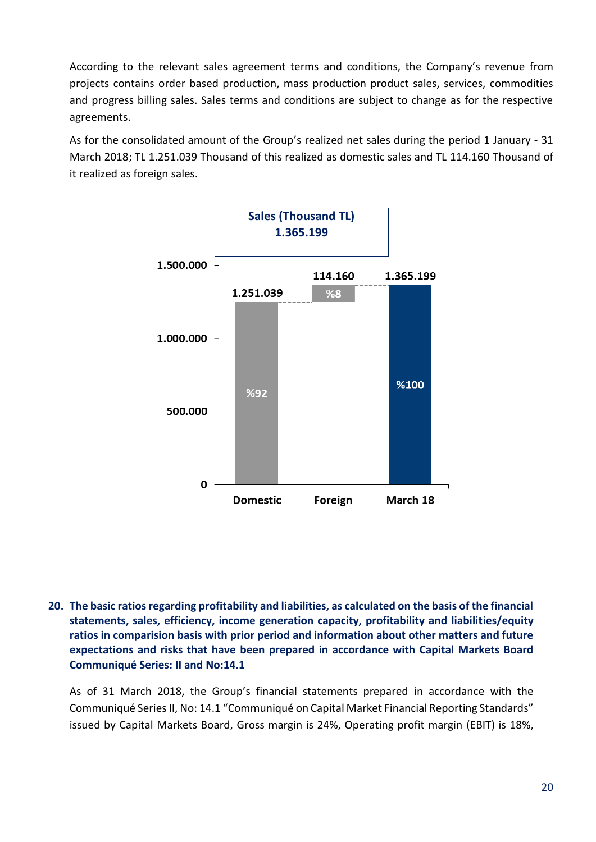According to the relevant sales agreement terms and conditions, the Company's revenue from projects contains order based production, mass production product sales, services, commodities and progress billing sales. Sales terms and conditions are subject to change as for the respective agreements.

As for the consolidated amount of the Group's realized net sales during the period 1 January - 31 March 2018; TL 1.251.039 Thousand of this realized as domestic sales and TL 114.160 Thousand of it realized as foreign sales.



<span id="page-22-0"></span>**20. The basic ratios regarding profitability and liabilities, as calculated on the basis of the financial statements, sales, efficiency, income generation capacity, profitability and liabilities/equity ratios in comparision basis with prior period and information about other matters and future expectations and risks that have been prepared in accordance with Capital Markets Board Communiqué Series: II and No:14.1**

As of 31 March 2018, the Group's financial statements prepared in accordance with the Communiqué Series II, No: 14.1 "Communiqué on Capital Market Financial Reporting Standards" issued by Capital Markets Board, Gross margin is 24%, Operating profit margin (EBIT) is 18%,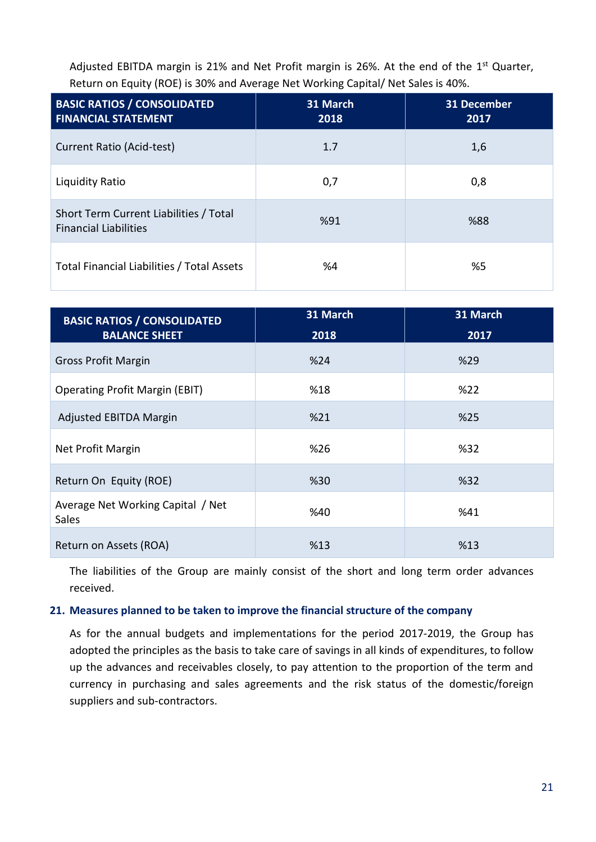Adjusted EBITDA margin is 21% and Net Profit margin is 26%. At the end of the 1<sup>st</sup> Quarter, Return on Equity (ROE) is 30% and Average Net Working Capital/ Net Sales is 40%.

| <b>BASIC RATIOS / CONSOLIDATED</b><br><b>FINANCIAL STATEMENT</b>       | 31 March<br>2018 | 31 December<br>2017 |
|------------------------------------------------------------------------|------------------|---------------------|
| Current Ratio (Acid-test)                                              | 1.7              | 1,6                 |
| Liquidity Ratio                                                        | 0,7              | 0,8                 |
| Short Term Current Liabilities / Total<br><b>Financial Liabilities</b> | %91              | %88                 |
| Total Financial Liabilities / Total Assets                             | %4               | %5                  |

| <b>BASIC RATIOS / CONSOLIDATED</b>                | 31 March | 31 March |
|---------------------------------------------------|----------|----------|
| <b>BALANCE SHEET</b>                              | 2018     | 2017     |
| <b>Gross Profit Margin</b>                        | %24      | %29      |
| <b>Operating Profit Margin (EBIT)</b>             | %18      | %22      |
| <b>Adjusted EBITDA Margin</b>                     | %21      | %25      |
| Net Profit Margin                                 | %26      | %32      |
| Return On Equity (ROE)                            | %30      | %32      |
| Average Net Working Capital / Net<br><b>Sales</b> | %40      | %41      |
| Return on Assets (ROA)                            | %13      | %13      |

<span id="page-23-0"></span>The liabilities of the Group are mainly consist of the short and long term order advances received.

#### **21. Measures planned to be taken to improve the financial structure of the company**

As for the annual budgets and implementations for the period 2017-2019, the Group has adopted the principles as the basis to take care of savings in all kinds of expenditures, to follow up the advances and receivables closely, to pay attention to the proportion of the term and currency in purchasing and sales agreements and the risk status of the domestic/foreign suppliers and sub-contractors.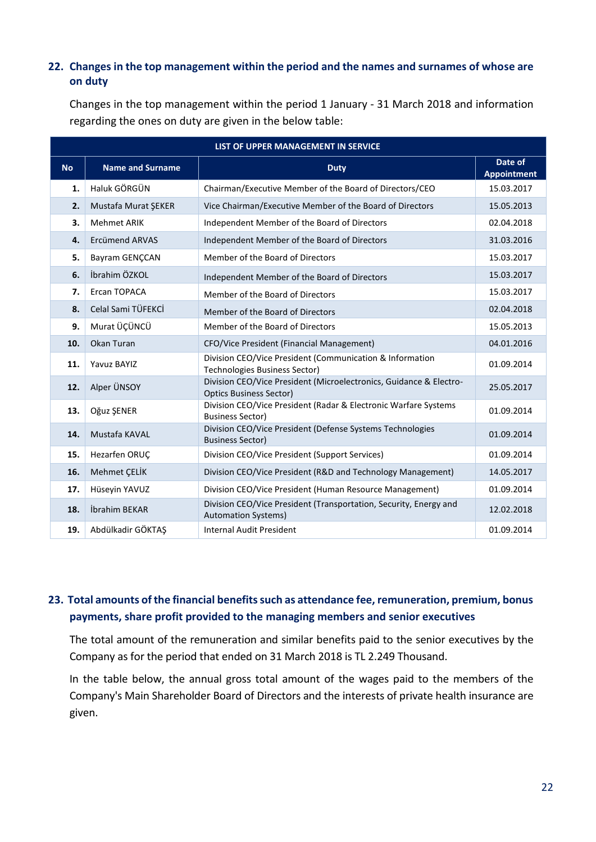#### <span id="page-24-0"></span>**22. Changes in the top management within the period and the names and surnames of whose are on duty**

Changes in the top management within the period 1 January - 31 March 2018 and information regarding the ones on duty are given in the below table:

|           | LIST OF UPPER MANAGEMENT IN SERVICE |                                                                                                      |                               |  |  |  |
|-----------|-------------------------------------|------------------------------------------------------------------------------------------------------|-------------------------------|--|--|--|
| <b>No</b> | <b>Name and Surname</b>             | <b>Duty</b>                                                                                          | Date of<br><b>Appointment</b> |  |  |  |
| 1.        | Haluk GÖRGÜN                        | Chairman/Executive Member of the Board of Directors/CEO                                              | 15.03.2017                    |  |  |  |
| 2.        | Mustafa Murat ŞEKER                 | Vice Chairman/Executive Member of the Board of Directors                                             | 15.05.2013                    |  |  |  |
| 3.        | <b>Mehmet ARIK</b>                  | Independent Member of the Board of Directors                                                         | 02.04.2018                    |  |  |  |
| 4.        | <b>Ercümend ARVAS</b>               | Independent Member of the Board of Directors                                                         | 31.03.2016                    |  |  |  |
| 5.        | Bayram GENÇCAN                      | Member of the Board of Directors                                                                     | 15.03.2017                    |  |  |  |
| 6.        | İbrahim ÖZKOL                       | Independent Member of the Board of Directors                                                         | 15.03.2017                    |  |  |  |
| 7.        | Ercan TOPACA                        | Member of the Board of Directors                                                                     | 15.03.2017                    |  |  |  |
| 8.        | Celal Sami TÜFEKCİ                  | Member of the Board of Directors                                                                     | 02.04.2018                    |  |  |  |
| 9.        | Murat ÜÇÜNCÜ                        | Member of the Board of Directors                                                                     | 15.05.2013                    |  |  |  |
| 10.       | Okan Turan                          | CFO/Vice President (Financial Management)                                                            | 04.01.2016                    |  |  |  |
| 11.       | Yavuz BAYIZ                         | Division CEO/Vice President (Communication & Information<br>Technologies Business Sector)            | 01.09.2014                    |  |  |  |
| 12.       | Alper ÜNSOY                         | Division CEO/Vice President (Microelectronics, Guidance & Electro-<br><b>Optics Business Sector)</b> | 25.05.2017                    |  |  |  |
| 13.       | Oğuz ŞENER                          | Division CEO/Vice President (Radar & Electronic Warfare Systems<br><b>Business Sector)</b>           | 01.09.2014                    |  |  |  |
| 14.       | Mustafa KAVAL                       | Division CEO/Vice President (Defense Systems Technologies<br><b>Business Sector)</b>                 | 01.09.2014                    |  |  |  |
| 15.       | Hezarfen ORUC                       | Division CEO/Vice President (Support Services)                                                       | 01.09.2014                    |  |  |  |
| 16.       | <b>Mehmet CELIK</b>                 | Division CEO/Vice President (R&D and Technology Management)                                          | 14.05.2017                    |  |  |  |
| 17.       | Hüseyin YAVUZ                       | Division CEO/Vice President (Human Resource Management)                                              | 01.09.2014                    |  |  |  |
| 18.       | İbrahim BEKAR                       | Division CEO/Vice President (Transportation, Security, Energy and<br><b>Automation Systems)</b>      | 12.02.2018                    |  |  |  |
| 19.       | Abdülkadir GÖKTAS                   | <b>Internal Audit President</b>                                                                      | 01.09.2014                    |  |  |  |

### <span id="page-24-1"></span>**23. Total amounts of the financial benefits such as attendance fee, remuneration, premium, bonus payments, share profit provided to the managing members and senior executives**

The total amount of the remuneration and similar benefits paid to the senior executives by the Company as for the period that ended on 31 March 2018 is TL 2.249 Thousand.

In the table below, the annual gross total amount of the wages paid to the members of the Company's Main Shareholder Board of Directors and the interests of private health insurance are given.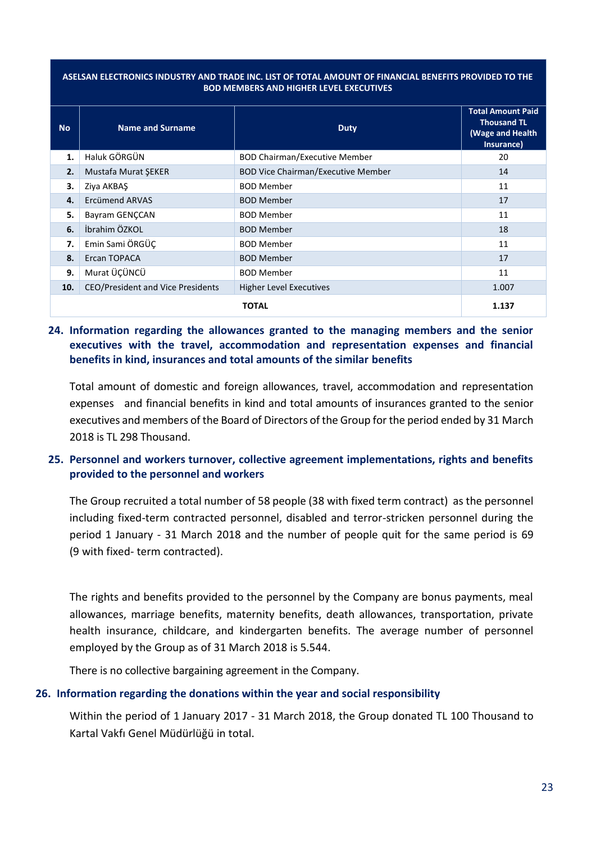#### **ASELSAN ELECTRONICS INDUSTRY AND TRADE INC. LIST OF TOTAL AMOUNT OF FINANCIAL BENEFITS PROVIDED TO THE BOD MEMBERS AND HIGHER LEVEL EXECUTIVES**

| <b>No</b> | <b>Name and Surname</b>                  | <b>Duty</b>                               | <b>Total Amount Paid</b><br><b>Thousand TL</b><br>(Wage and Health<br>Insurance) |
|-----------|------------------------------------------|-------------------------------------------|----------------------------------------------------------------------------------|
| 1.        | Haluk GÖRGÜN                             | <b>BOD Chairman/Executive Member</b>      | 20                                                                               |
| 2.        | <b>Mustafa Murat SEKER</b>               | <b>BOD Vice Chairman/Executive Member</b> | 14                                                                               |
| 3.        | Ziya AKBAS                               | <b>BOD Member</b>                         | 11                                                                               |
| 4.        | Ercümend ARVAS                           | <b>BOD Member</b>                         | 17                                                                               |
| 5.        | Bayram GENÇCAN                           | <b>BOD Member</b>                         | 11                                                                               |
| 6.        | İbrahim ÖZKOL                            | <b>BOD Member</b>                         | 18                                                                               |
| 7.        | Emin Sami ÖRGÜÇ                          | <b>BOD Member</b>                         | 11                                                                               |
| 8.        | Ercan TOPACA                             | <b>BOD Member</b>                         | 17                                                                               |
| 9.        | Murat ÜÇÜNCÜ                             | <b>BOD Member</b>                         | 11                                                                               |
| 10.       | <b>CEO/President and Vice Presidents</b> | <b>Higher Level Executives</b>            | 1.007                                                                            |
|           |                                          | TOTAL                                     | 1.137                                                                            |

#### <span id="page-25-0"></span>**24. Information regarding the allowances granted to the managing members and the senior executives with the travel, accommodation and representation expenses and financial benefits in kind, insurances and total amounts of the similar benefits**

<span id="page-25-1"></span>Total amount of domestic and foreign allowances, travel, accommodation and representation expenses and financial benefits in kind and total amounts of insurances granted to the senior executives and members of the Board of Directors of the Group for the period ended by 31 March 2018 is TL 298 Thousand.

#### **25. Personnel and workers turnover, collective agreement implementations, rights and benefits provided to the personnel and workers**

The Group recruited a total number of 58 people (38 with fixed term contract) as the personnel including fixed-term contracted personnel, disabled and terror-stricken personnel during the period 1 January - 31 March 2018 and the number of people quit for the same period is 69 (9 with fixed- term contracted).

The rights and benefits provided to the personnel by the Company are bonus payments, meal allowances, marriage benefits, maternity benefits, death allowances, transportation, private health insurance, childcare, and kindergarten benefits. The average number of personnel employed by the Group as of 31 March 2018 is 5.544.

<span id="page-25-2"></span>There is no collective bargaining agreement in the Company.

#### **26. Information regarding the donations within the year and social responsibility**

Within the period of 1 January 2017 - 31 March 2018, the Group donated TL 100 Thousand to Kartal Vakfı Genel Müdürlüğü in total.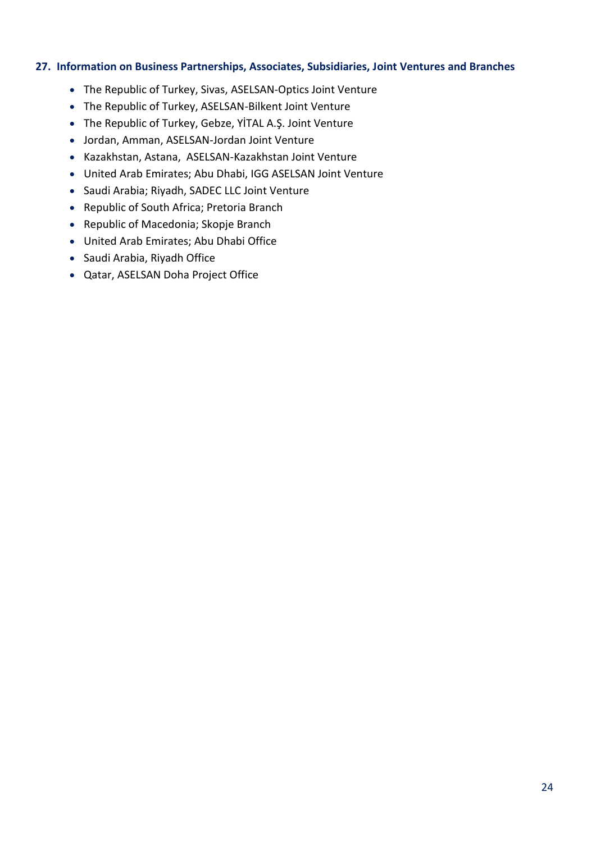#### <span id="page-26-0"></span>**27. Information on Business Partnerships, Associates, Subsidiaries, Joint Ventures and Branches**

- The Republic of Turkey, Sivas, ASELSAN-Optics Joint Venture
- The Republic of Turkey, ASELSAN-Bilkent Joint Venture
- The Republic of Turkey, Gebze, YİTAL A.Ş. Joint Venture
- Jordan, Amman, ASELSAN-Jordan Joint Venture
- Kazakhstan, Astana, ASELSAN-Kazakhstan Joint Venture
- United Arab Emirates; Abu Dhabi, IGG ASELSAN Joint Venture
- Saudi Arabia; Riyadh, SADEC LLC Joint Venture
- Republic of South Africa; Pretoria Branch
- Republic of Macedonia; Skopje Branch
- United Arab Emirates; Abu Dhabi Office
- Saudi Arabia, Riyadh Office
- Qatar, ASELSAN Doha Project Office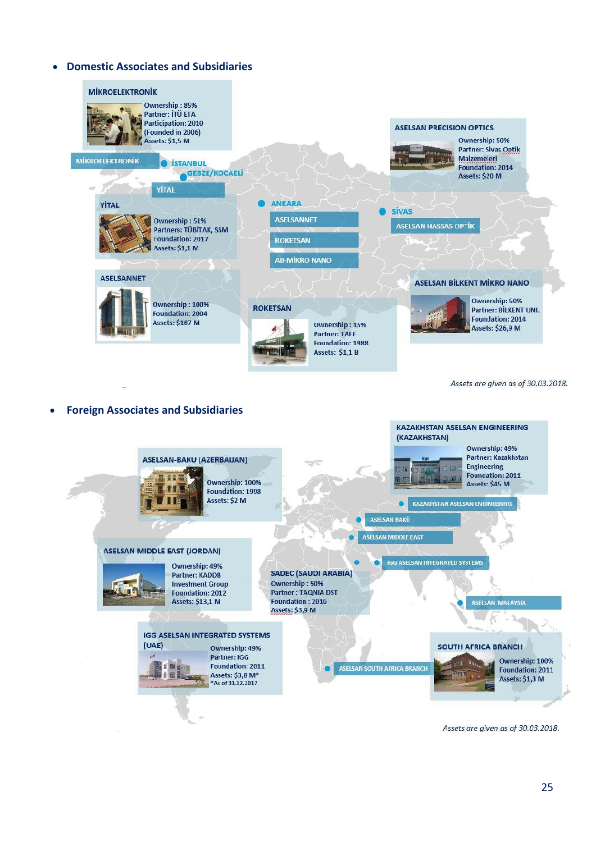#### **Domestic Associates and Subsidiaries**



Assets are given as of 30.03.2018.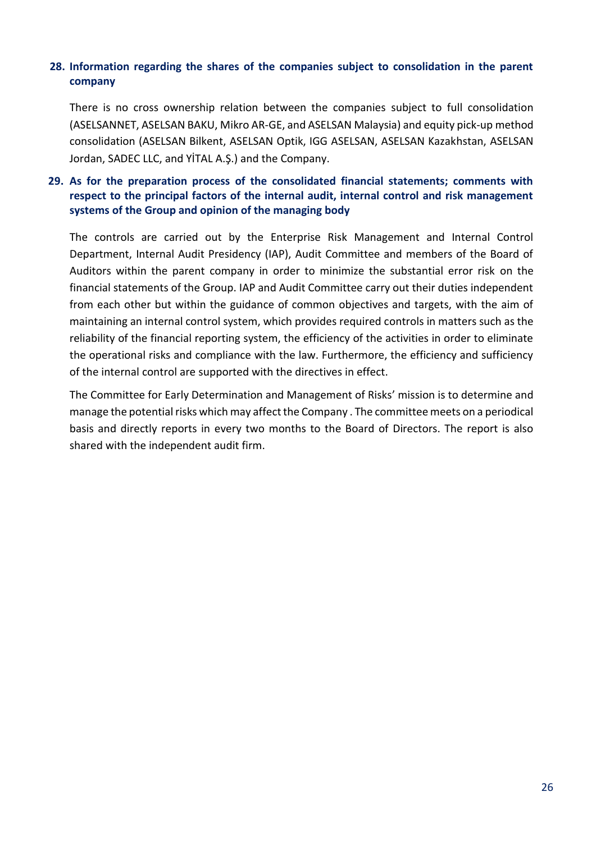#### <span id="page-28-0"></span>**28. Information regarding the shares of the companies subject to consolidation in the parent company**

<span id="page-28-1"></span>There is no cross ownership relation between the companies subject to full consolidation (ASELSANNET, ASELSAN BAKU, Mikro AR-GE, and ASELSAN Malaysia) and equity pick-up method consolidation (ASELSAN Bilkent, ASELSAN Optik, IGG ASELSAN, ASELSAN Kazakhstan, ASELSAN Jordan, SADEC LLC, and YİTAL A.Ş.) and the Company.

#### **29. As for the preparation process of the consolidated financial statements; comments with respect to the principal factors of the internal audit, internal control and risk management systems of the Group and opinion of the managing body**

The controls are carried out by the Enterprise Risk Management and Internal Control Department, Internal Audit Presidency (IAP), Audit Committee and members of the Board of Auditors within the parent company in order to minimize the substantial error risk on the financial statements of the Group. IAP and Audit Committee carry out their duties independent from each other but within the guidance of common objectives and targets, with the aim of maintaining an internal control system, which provides required controls in matters such as the reliability of the financial reporting system, the efficiency of the activities in order to eliminate the operational risks and compliance with the law. Furthermore, the efficiency and sufficiency of the internal control are supported with the directives in effect.

The Committee for Early Determination and Management of Risks' mission is to determine and manage the potential risks which may affect the Company . The committee meets on a periodical basis and directly reports in every two months to the Board of Directors. The report is also shared with the independent audit firm.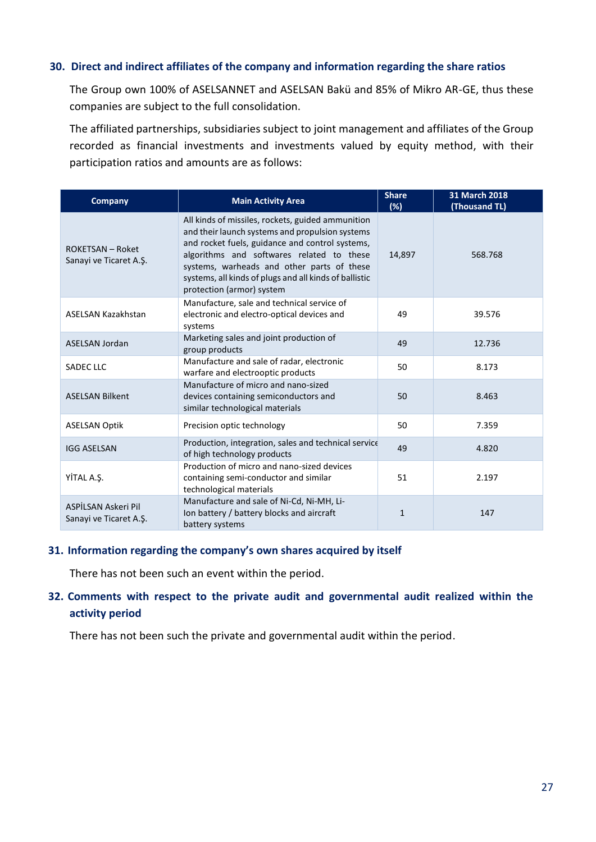#### <span id="page-29-0"></span>**30. Direct and indirect affiliates of the company and information regarding the share ratios**

The Group own 100% of ASELSANNET and ASELSAN Bakü and 85% of Mikro AR-GE, thus these companies are subject to the full consolidation.

The affiliated partnerships, subsidiaries subject to joint management and affiliates of the Group recorded as financial investments and investments valued by equity method, with their participation ratios and amounts are as follows:

| <b>Company</b>                                    | <b>Main Activity Area</b>                                                                                                                                                                                                                                                                                                                 | <b>Share</b><br>(%) | 31 March 2018<br>(Thousand TL) |
|---------------------------------------------------|-------------------------------------------------------------------------------------------------------------------------------------------------------------------------------------------------------------------------------------------------------------------------------------------------------------------------------------------|---------------------|--------------------------------|
| <b>ROKETSAN - Roket</b><br>Sanayi ve Ticaret A.Ş. | All kinds of missiles, rockets, guided ammunition<br>and their launch systems and propulsion systems<br>and rocket fuels, guidance and control systems,<br>algorithms and softwares related to these<br>systems, warheads and other parts of these<br>systems, all kinds of plugs and all kinds of ballistic<br>protection (armor) system | 14,897              | 568.768                        |
| <b>ASELSAN Kazakhstan</b>                         | Manufacture, sale and technical service of<br>electronic and electro-optical devices and<br>systems                                                                                                                                                                                                                                       | 49                  | 39.576                         |
| <b>ASELSAN Jordan</b>                             | Marketing sales and joint production of<br>group products                                                                                                                                                                                                                                                                                 | 49                  | 12.736                         |
| <b>SADEC LLC</b>                                  | Manufacture and sale of radar, electronic<br>warfare and electrooptic products                                                                                                                                                                                                                                                            | 50                  | 8.173                          |
| <b>ASELSAN Bilkent</b>                            | Manufacture of micro and nano-sized<br>devices containing semiconductors and<br>similar technological materials                                                                                                                                                                                                                           | 50                  | 8.463                          |
| <b>ASELSAN Optik</b>                              | Precision optic technology                                                                                                                                                                                                                                                                                                                | 50                  | 7.359                          |
| <b>IGG ASELSAN</b>                                | Production, integration, sales and technical service<br>of high technology products                                                                                                                                                                                                                                                       | 49                  | 4.820                          |
| YİTAL A.Ş.                                        | Production of micro and nano-sized devices<br>containing semi-conductor and similar<br>technological materials                                                                                                                                                                                                                            | 51                  | 2.197                          |
| ASPİLSAN Askeri Pil<br>Sanayi ve Ticaret A.S.     | Manufacture and sale of Ni-Cd, Ni-MH, Li-<br>Ion battery / battery blocks and aircraft<br>battery systems                                                                                                                                                                                                                                 | $\mathbf{1}$        | 147                            |

#### <span id="page-29-2"></span><span id="page-29-1"></span>**31. Information regarding the company's own shares acquired by itself**

There has not been such an event within the period.

#### **32. Comments with respect to the private audit and governmental audit realized within the activity period**

There has not been such the private and governmental audit within the period.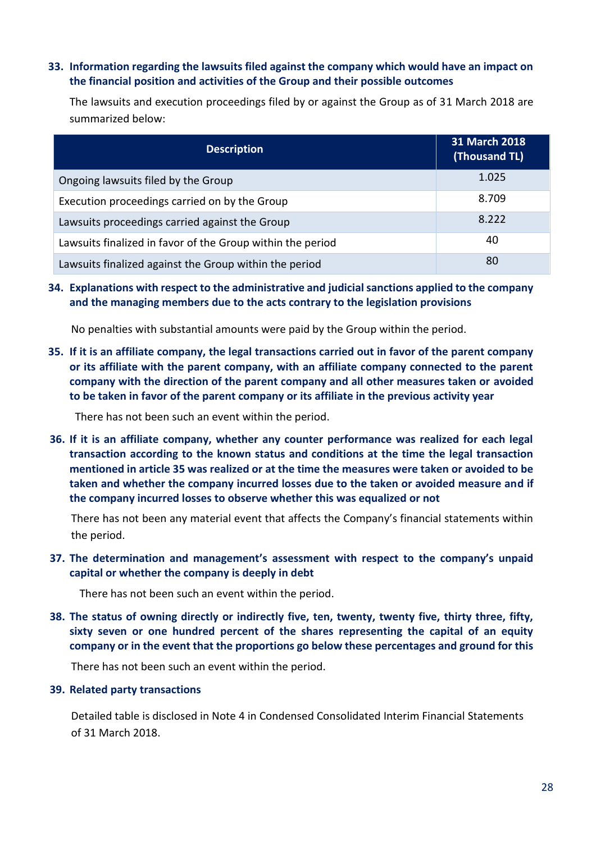#### <span id="page-30-0"></span>**33. Information regarding the lawsuits filed against the company which would have an impact on the financial position and activities of the Group and their possible outcomes**

The lawsuits and execution proceedings filed by or against the Group as of 31 March 2018 are summarized below:

| <b>Description</b>                                         | 31 March 2018<br>(Thousand TL) |
|------------------------------------------------------------|--------------------------------|
| Ongoing lawsuits filed by the Group                        | 1.025                          |
| Execution proceedings carried on by the Group              | 8.709                          |
| Lawsuits proceedings carried against the Group             | 8.222                          |
| Lawsuits finalized in favor of the Group within the period | 40                             |
| Lawsuits finalized against the Group within the period     | 80                             |

<span id="page-30-2"></span><span id="page-30-1"></span>**34. Explanations with respect to the administrative and judicial sanctions applied to the company and the managing members due to the acts contrary to the legislation provisions**

No penalties with substantial amounts were paid by the Group within the period.

<span id="page-30-3"></span>**35. If it is an affiliate company, the legal transactions carried out in favor of the parent company or its affiliate with the parent company, with an affiliate company connected to the parent company with the direction of the parent company and all other measures taken or avoided to be taken in favor of the parent company or its affiliate in the previous activity year**

There has not been such an event within the period.

**36. If it is an affiliate company, whether any counter performance was realized for each legal transaction according to the known status and conditions at the time the legal transaction mentioned in article 35 was realized or at the time the measures were taken or avoided to be taken and whether the company incurred losses due to the taken or avoided measure and if the company incurred losses to observe whether this was equalized or not**

<span id="page-30-4"></span>There has not been any material event that affects the Company's financial statements within the period.

<span id="page-30-5"></span>**37. The determination and management's assessment with respect to the company's unpaid capital or whether the company is deeply in debt**

There has not been such an event within the period.

<span id="page-30-6"></span>**38. The status of owning directly or indirectly five, ten, twenty, twenty five, thirty three, fifty, sixty seven or one hundred percent of the shares representing the capital of an equity company or in the event that the proportions go below these percentages and ground for this**

There has not been such an event within the period.

#### **39. Related party transactions**

Detailed table is disclosed in Note 4 in Condensed Consolidated Interim Financial Statements of 31 March 2018.